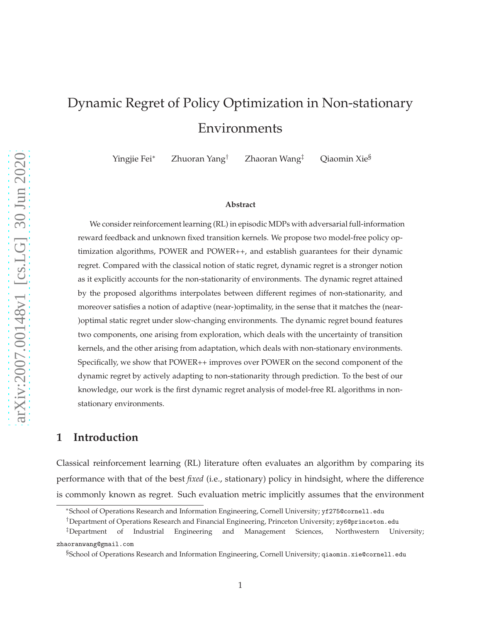# Dynamic Regret of Policy Optimization in Non-stationary Environments

Yingjie Fei<sup>∗</sup> Zhuoran Yang† Zhaoran Wang‡ Qiaomin Xie§

#### **Abstract**

We consider reinforcement learning (RL) in episodic MDPs with adversarial full-information reward feedback and unknown fixed transition kernels. We propose two model-free policy optimization algorithms, POWER and POWER++, and establish guarantees for their dynamic regret. Compared with the classical notion of static regret, dynamic regret is a stronger notion as it explicitly accounts for the non-stationarity of environments. The dynamic regret attained by the proposed algorithms interpolates between different regimes of non-stationarity, and moreover satisfies a notion of adaptive (near-)optimality, in the sense that it matches the (near- )optimal static regret under slow-changing environments. The dynamic regret bound features two components, one arising from exploration, which deals with the uncertainty of transition kernels, and the other arising from adaptation, which deals with non-stationary environments. Specifically, we show that POWER++ improves over POWER on the second component of the dynamic regret by actively adapting to non-stationarity through prediction. To the best of our knowledge, our work is the first dynamic regret analysis of model-free RL algorithms in nonstationary environments.

# <span id="page-0-0"></span>**1 Introduction**

Classical reinforcement learning (RL) literature often evaluates an algorithm by comparing its performance with that of the best *fixed* (i.e., stationary) policy in hindsight, where the difference is commonly known as regret. Such evaluation metric implicitly assumes that the environment

<sup>∗</sup>School of Operations Research and Information Engineering, Cornell University; yf275@cornell.edu

<sup>†</sup>Department of Operations Research and Financial Engineering, Princeton University; zy6@princeton.edu

<sup>‡</sup>Department of Industrial Engineering and Management Sciences, Northwestern University; zhaoranwang@gmail.com

<sup>§</sup>School of Operations Research and Information Engineering, Cornell University; qiaomin.xie@cornell.edu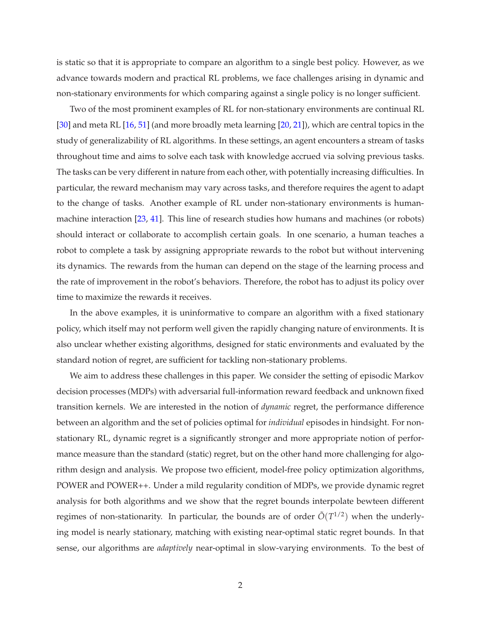is static so that it is appropriate to compare an algorithm to a single best policy. However, as we advance towards modern and practical RL problems, we face challenges arising in dynamic and non-stationary environments for which comparing against a single policy is no longer sufficient.

Two of the most prominent examples of RL for non-stationary environments are continual RL [\[30](#page-15-0)] and meta RL [\[16,](#page-14-0) [51\]](#page-17-0) (and more broadly meta learning [\[20](#page-15-1), [21](#page-15-2)]), which are central topics in the study of generalizability of RL algorithms. In these settings, an agent encounters a stream of tasks throughout time and aims to solve each task with knowledge accrued via solving previous tasks. The tasks can be very different in nature from each other, with potentially increasing difficulties. In particular, the reward mechanism may vary across tasks, and therefore requires the agent to adapt to the change of tasks. Another example of RL under non-stationary environments is humanmachine interaction [\[23,](#page-15-3) [41](#page-16-0)]. This line of research studies how humans and machines (or robots) should interact or collaborate to accomplish certain goals. In one scenario, a human teaches a robot to complete a task by assigning appropriate rewards to the robot but without intervening its dynamics. The rewards from the human can depend on the stage of the learning process and the rate of improvement in the robot's behaviors. Therefore, the robot has to adjust its policy over time to maximize the rewards it receives.

In the above examples, it is uninformative to compare an algorithm with a fixed stationary policy, which itself may not perform well given the rapidly changing nature of environments. It is also unclear whether existing algorithms, designed for static environments and evaluated by the standard notion of regret, are sufficient for tackling non-stationary problems.

We aim to address these challenges in this paper. We consider the setting of episodic Markov decision processes (MDPs) with adversarial full-information reward feedback and unknown fixed transition kernels. We are interested in the notion of *dynamic* regret, the performance difference between an algorithm and the set of policies optimal for *individual* episodes in hindsight. For nonstationary RL, dynamic regret is a significantly stronger and more appropriate notion of performance measure than the standard (static) regret, but on the other hand more challenging for algorithm design and analysis. We propose two efficient, model-free policy optimization algorithms, POWER and POWER++. Under a mild regularity condition of MDPs, we provide dynamic regret analysis for both algorithms and we show that the regret bounds interpolate bewteen different regimes of non-stationarity. In particular, the bounds are of order  $\tilde{O}(T^{1/2})$  when the underlying model is nearly stationary, matching with existing near-optimal static regret bounds. In that sense, our algorithms are *adaptively* near-optimal in slow-varying environments. To the best of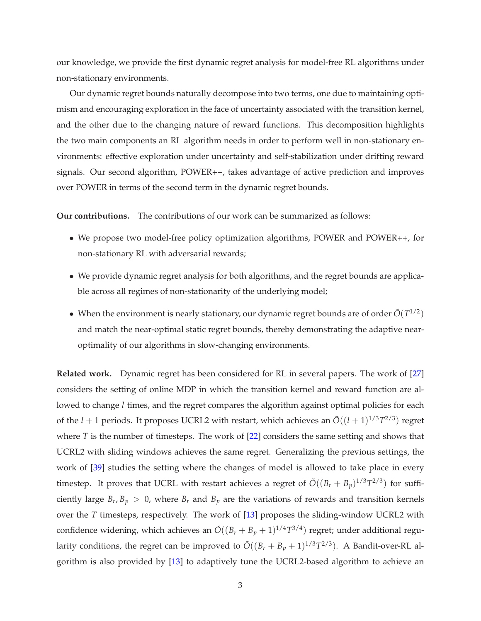our knowledge, we provide the first dynamic regret analysis for model-free RL algorithms under non-stationary environments.

Our dynamic regret bounds naturally decompose into two terms, one due to maintaining optimism and encouraging exploration in the face of uncertainty associated with the transition kernel, and the other due to the changing nature of reward functions. This decomposition highlights the two main components an RL algorithm needs in order to perform well in non-stationary environments: effective exploration under uncertainty and self-stabilization under drifting reward signals. Our second algorithm, POWER++, takes advantage of active prediction and improves over POWER in terms of the second term in the dynamic regret bounds.

**Our contributions.** The contributions of our work can be summarized as follows:

- We propose two model-free policy optimization algorithms, POWER and POWER++, for non-stationary RL with adversarial rewards;
- We provide dynamic regret analysis for both algorithms, and the regret bounds are applicable across all regimes of non-stationarity of the underlying model;
- When the environment is nearly stationary, our dynamic regret bounds are of order  $\tilde{O}(T^{1/2})$ and match the near-optimal static regret bounds, thereby demonstrating the adaptive nearoptimality of our algorithms in slow-changing environments.

**Related work.** Dynamic regret has been considered for RL in several papers. The work of [\[27](#page-15-4)] considers the setting of online MDP in which the transition kernel and reward function are allowed to change *l* times, and the regret compares the algorithm against optimal policies for each of the  $l + 1$  periods. It proposes UCRL2 with restart, which achieves an  $\tilde{O}((l + 1)^{1/3}T^{2/3})$  regret where *T* is the number of timesteps. The work of [\[22](#page-15-5)] considers the same setting and shows that UCRL2 with sliding windows achieves the same regret. Generalizing the previous settings, the work of [\[39\]](#page-16-1) studies the setting where the changes of model is allowed to take place in every timestep. It proves that UCRL with restart achieves a regret of  $\tilde{O}((B_r + B_p)^{1/3}T^{2/3})$  for sufficiently large  $B_r$ ,  $B_p > 0$ , where  $B_r$  and  $B_p$  are the variations of rewards and transition kernels over the *T* timesteps, respectively. The work of [\[13](#page-14-1)] proposes the sliding-window UCRL2 with confidence widening, which achieves an  $\tilde{O}((B_r + B_p + 1)^{1/4}T^{3/4})$  regret; under additional regularity conditions, the regret can be improved to  $\tilde{O}((B_r + B_p + 1)^{1/3}T^{2/3})$ . A Bandit-over-RL algorithm is also provided by [\[13](#page-14-1)] to adaptively tune the UCRL2-based algorithm to achieve an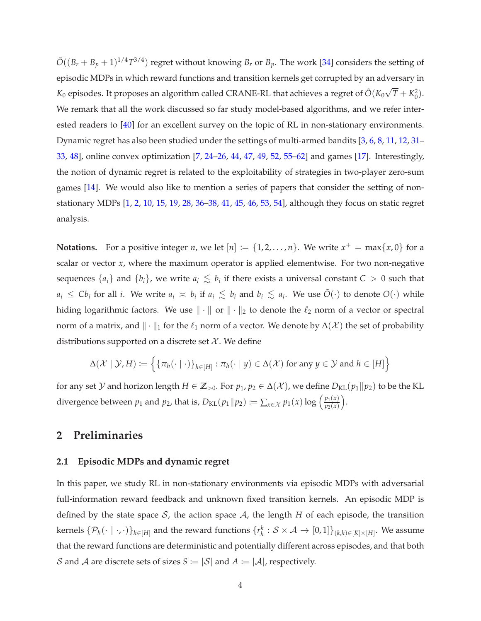$\tilde{O}((B_r + B_p + 1)^{1/4}T^{3/4})$  regret without knowing  $B_r$  or  $B_p$ . The work [\[34](#page-16-2)] considers the setting of episodic MDPs in which reward functions and transition kernels get corrupted by an adversary in  $K_0$  episodes. It proposes an algorithm called CRANE-RL that achieves a regret of  $\tilde O(K_0\sqrt{T}+K_0^2).$ We remark that all the work discussed so far study model-based algorithms, and we refer interested readers to [\[40\]](#page-16-3) for an excellent survey on the topic of RL in non-stationary environments. Dynamic regret has also been studied under the settings of multi-armed bandits [\[3](#page-13-0), [6,](#page-13-1) [8](#page-14-2), [11](#page-14-3), [12](#page-14-4), [31](#page-16-4)– [33,](#page-16-5) [48\]](#page-17-1), online convex optimization [\[7,](#page-13-2) [24](#page-15-6)[–26](#page-15-7), [44,](#page-17-2) [47,](#page-17-3) [49,](#page-17-4) [52](#page-17-5), [55](#page-18-0)[–62\]](#page-18-1) and games [\[17](#page-14-5)]. Interestingly, the notion of dynamic regret is related to the exploitability of strategies in two-player zero-sum games [\[14](#page-14-6)]. We would also like to mention a series of papers that consider the setting of nonstationary MDPs [\[1](#page-13-3), [2,](#page-13-4) [10](#page-14-7), [15](#page-14-8), [19,](#page-15-8) [28](#page-15-9), [36](#page-16-6)[–38](#page-16-7), [41,](#page-16-0) [45](#page-17-6), [46](#page-17-7), [53,](#page-17-8) [54](#page-18-2)], although they focus on static regret analysis.

**Notations.** For a positive integer *n*, we let  $[n] := \{1, 2, ..., n\}$ . We write  $x^+ = \max\{x, 0\}$  for a scalar or vector *x*, where the maximum operator is applied elementwise. For two non-negative sequences  $\{a_i\}$  and  $\{b_i\}$ , we write  $a_i \leq b_i$  if there exists a universal constant  $C > 0$  such that  $a_i \leq Cb_i$  for all *i*. We write  $a_i \approx b_i$  if  $a_i \leq b_i$  and  $b_i \leq a_i$ . We use  $\tilde{O}(\cdot)$  to denote  $O(\cdot)$  while hiding logarithmic factors. We use  $\|\cdot\|$  or  $\|\cdot\|_2$  to denote the  $\ell_2$  norm of a vector or spectral norm of a matrix, and  $\|\cdot\|_1$  for the  $\ell_1$  norm of a vector. We denote by  $\Delta(\mathcal{X})$  the set of probability distributions supported on a discrete set  $\mathcal{X}$ . We define

$$
\Delta(\mathcal{X} \mid \mathcal{Y}, H) := \left\{ \left\{ \pi_h(\cdot \mid \cdot) \right\}_{h \in [H]} : \pi_h(\cdot \mid y) \in \Delta(\mathcal{X}) \text{ for any } y \in \mathcal{Y} \text{ and } h \in [H] \right\}
$$

for any set *Y* and horizon length  $H \in \mathbb{Z}_{>0}$ . For  $p_1, p_2 \in \Delta(\mathcal{X})$ , we define  $D_{KL}(p_1||p_2)$  to be the KL divergence between  $p_1$  and  $p_2$ , that is,  $D_{\text{KL}}(p_1 \| p_2) := \sum_{x \in \mathcal{X}} p_1(x) \log \left( \frac{p_1(x)}{p_2(x)} \right)$ *p*2(*x*) .

# <span id="page-3-0"></span>**2 Preliminaries**

### **2.1 Episodic MDPs and dynamic regret**

In this paper, we study RL in non-stationary environments via episodic MDPs with adversarial full-information reward feedback and unknown fixed transition kernels. An episodic MDP is defined by the state space  $S$ , the action space  $A$ , the length  $H$  of each episode, the transition  $\{ \mathcal{P}_h(\cdot \mid \cdot, \cdot) \}_{h \in [H]}$  and the reward functions  $\{r_h^k: \mathcal{S} \times \mathcal{A} \to [0,1] \}_{(k,h) \in [K] \times [H]}$ . We assume that the reward functions are deterministic and potentially different across episodes, and that both S and A are discrete sets of sizes  $S := |\mathcal{S}|$  and  $A := |\mathcal{A}|$ , respectively.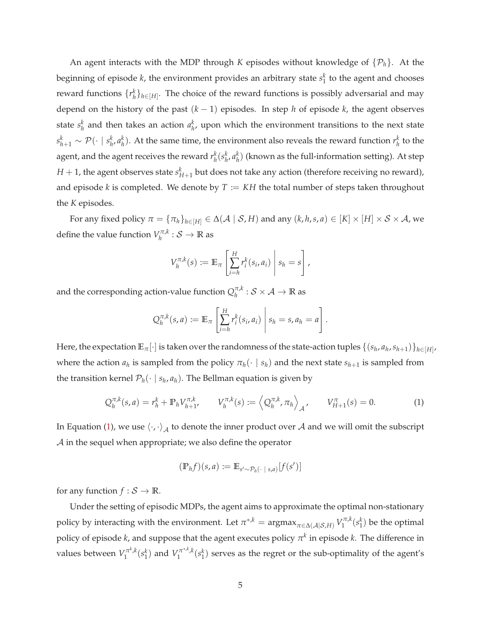An agent interacts with the MDP through *K* episodes without knowledge of {P*h*}. At the beginning of episode  $k$ , the environment provides an arbitrary state  $s_1^k$  to the agent and chooses reward functions  $\{r_h^k\}_{h \in [H]}$ . The choice of the reward functions is possibly adversarial and may depend on the history of the past (*k* − 1) episodes. In step *h* of episode *k*, the agent observes state  $s_h^k$  and then takes an action  $a_h^k$ , upon which the environment transitions to the next state  $s_{h+1}^k \sim \mathcal{P}(\cdot \mid s_h^k, a_h^k).$  At the same time, the environment also reveals the reward function  $r_h^k$  to the agent, and the agent receives the reward  $r_h^k(s_h^k, a_h^k)$  (known as the full-information setting). At step  $H+1$ , the agent observes state  $s_{H+1}^k$  but does not take any action (therefore receiving no reward), and episode  $k$  is completed. We denote by  $T := KH$  the total number of steps taken throughout the *K* episodes.

For any fixed policy  $\pi = {\pi_h}_{h \in [H]} \in \Delta(\mathcal{A} \mid \mathcal{S}, H)$  and any  $(k, h, s, a) \in [K] \times [H] \times \mathcal{S} \times \mathcal{A}$ , we define the value function  $V^{\pi,k}_h$  $\gamma_h^{\pi,\kappa}: \mathcal{S} \to \mathbb{R}$  as

$$
V_h^{\pi,k}(s) := \mathbb{E}_{\pi}\left[\sum_{i=h}^H r_i^k(s_i,a_i)\middle| s_h = s\right],
$$

and the corresponding action-value function  $Q_h^{\pi, k}$  $\frac{\pi}{h}$ :  $S \times A \rightarrow \mathbb{R}$  as

$$
Q_h^{\pi,k}(s,a) := \mathbb{E}_{\pi}\left[\sum_{i=h}^H r_i^k(s_i,a_i)\middle| s_h = s, a_h = a\right].
$$

Here, the expectation  $\mathbb{E}_{\pi}[\cdot]$  is taken over the randomness of the state-action tuples  $\{(s_h,a_h,s_{h+1})\}_{h\in[H]}$ where the action  $a_h$  is sampled from the policy  $\pi_h(\cdot \mid s_h)$  and the next state  $s_{h+1}$  is sampled from the transition kernel  $\mathcal{P}_h(\cdot | s_h, a_h)$ . The Bellman equation is given by

<span id="page-4-0"></span>
$$
Q_h^{\pi,k}(s, a) = r_h^k + \mathbb{P}_h V_{h+1}^{\pi,k}, \qquad V_h^{\pi,k}(s) := \left\langle Q_h^{\pi,k}, \pi_h \right\rangle_{\mathcal{A}}, \qquad V_{H+1}^{\pi}(s) = 0. \tag{1}
$$

In Equation [\(1\)](#page-4-0), we use  $\left< \cdot,\cdot \right>_{{\mathcal A}}$  to denote the inner product over  ${\mathcal A}$  and we will omit the subscript A in the sequel when appropriate; we also define the operator

$$
(\mathbb{P}_h f)(s, a) := \mathbb{E}_{s' \sim \mathcal{P}_h(\cdot \mid s, a)}[f(s')]
$$

for any function  $f : \mathcal{S} \to \mathbb{R}$ .

Under the setting of episodic MDPs, the agent aims to approximate the optimal non-stationary policy by interacting with the environment. Let  $\pi^{*,k} = \text{argmax}_{\pi \in \Delta(\mathcal{A}|\mathcal{S},H)} V_1^{\pi,k}$  $\gamma_1^{\pi,k}(s_1^k)$  be the optimal policy of episode  $k$ , and suppose that the agent executes policy  $\pi^k$  in episode  $k$ . The difference in values between  $V_1^{\pi^k, k}$  $\gamma_1^{\pi^k, k}(s_1^k)$  and  $V_1^{\pi^{*,k}, k}$  $\int_1^{\pi^{*,*},k}(s_1^k)$  serves as the regret or the sub-optimality of the agent's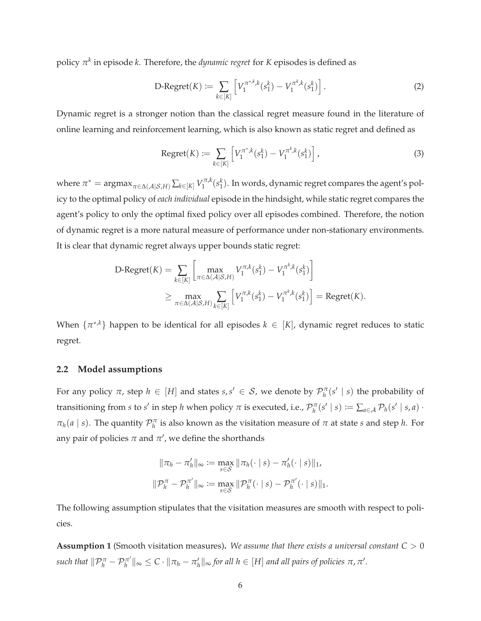policy *π k* in episode *k*. Therefore, the *dynamic regret* for *K* episodes is defined as

<span id="page-5-1"></span>
$$
\text{D-Regret}(K) := \sum_{k \in [K]} \left[ V_1^{\pi^{*,k}}(s_1^k) - V_1^{\pi^k,k}(s_1^k) \right]. \tag{2}
$$

Dynamic regret is a stronger notion than the classical regret measure found in the literature of online learning and reinforcement learning, which is also known as static regret and defined as

Regret(K) := 
$$
\sum_{k \in [K]} \left[ V_1^{\pi^*,k}(s_1^k) - V_1^{\pi^k,k}(s_1^k) \right],
$$
 (3)

where  $\pi^* = \text{argmax}_{\pi \in \Delta(\mathcal{A}|\mathcal{S},H)} \sum_{k \in [K]} V_1^{\pi,k}$  $\int_1^{\pi,k}(s_1^k)$ . In words, dynamic regret compares the agent's policy to the optimal policy of *each individual* episode in the hindsight, while static regret compares the agent's policy to only the optimal fixed policy over all episodes combined. Therefore, the notion of dynamic regret is a more natural measure of performance under non-stationary environments. It is clear that dynamic regret always upper bounds static regret:

$$
\begin{split} \text{D-Regret}(K) &= \sum_{k \in [K]} \left[ \max_{\pi \in \Delta(\mathcal{A}|\mathcal{S}, H)} V_1^{\pi, k}(s_1^k) - V_1^{\pi^k, k}(s_1^k) \right] \\ &\ge \max_{\pi \in \Delta(\mathcal{A}|\mathcal{S}, H)} \sum_{k \in [K]} \left[ V_1^{\pi, k}(s_1^k) - V_1^{\pi^k, k}(s_1^k) \right] = \text{Regret}(K). \end{split}
$$

When  $\{\pi^{*,k}\}$  happen to be identical for all episodes  $k \in [K]$ , dynamic regret reduces to static regret.

#### **2.2 Model assumptions**

For any policy  $\pi$ , step  $h \in [H]$  and states  $s, s' \in S$ , we denote by  $\mathcal{P}_h^{\pi}(s' \mid s)$  the probability of transitioning from *s* to *s'* in step *h* when policy  $\pi$  is executed, i.e.,  $\mathcal{P}_h^{\pi}(s' \mid s) := \sum_{a \in \mathcal{A}} \mathcal{P}_h(s' \mid s, a)$ .  $\pi_h(a \mid s)$ . The quantity  $\mathcal{P}_h^{\pi}$  is also known as the visitation measure of  $\pi$  at state *s* and step *h*. For any pair of policies  $\pi$  and  $\pi'$ , we define the shorthands

$$
\|\pi_h - \pi'_h\|_{\infty} := \max_{s \in \mathcal{S}} \|\pi_h(\cdot \mid s) - \pi'_h(\cdot \mid s)\|_1,
$$
  

$$
\|\mathcal{P}_h^{\pi} - \mathcal{P}_h^{\pi'}\|_{\infty} := \max_{s \in \mathcal{S}} \|\mathcal{P}_h^{\pi}(\cdot \mid s) - \mathcal{P}_h^{\pi'}(\cdot \mid s)\|_1.
$$

<span id="page-5-0"></span>The following assumption stipulates that the visitation measures are smooth with respect to policies.

**Assumption 1** (Smooth visitation measures)**.** *We assume that there exists a universal constant C* > 0 *such that*  $\|\mathcal{P}_h^{\pi} - \mathcal{P}_h^{\pi'}\|_{\infty} \leq C \cdot \|\pi_h - \pi_h'\|_{\infty}$  *for all*  $h \in [H]$  *and all pairs of policies*  $\pi, \pi'.$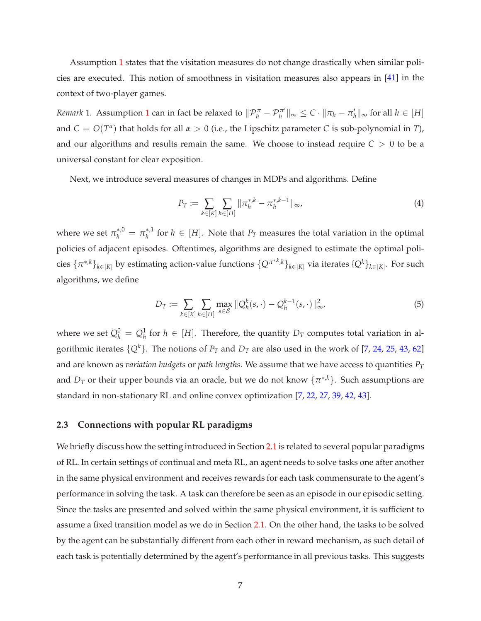Assumption [1](#page-5-0) states that the visitation measures do not change drastically when similar policies are executed. This notion of smoothness in visitation measures also appears in [\[41](#page-16-0)] in the context of two-player games.

*Remark* [1](#page-5-0). Assumption 1 can in fact be relaxed to  $\|\mathcal{P}_h^{\pi} - \mathcal{P}_h^{\pi'}\|_{\infty} \leq C \cdot \|\pi_h - \pi_h'\|_{\infty}$  for all  $h \in [H]$ and  $C = O(T^{\alpha})$  that holds for all  $\alpha > 0$  (i.e., the Lipschitz parameter *C* is sub-polynomial in *T*), and our algorithms and results remain the same. We choose to instead require  $C > 0$  to be a universal constant for clear exposition.

Next, we introduce several measures of changes in MDPs and algorithms. Define

$$
P_T := \sum_{k \in [K]} \sum_{h \in [H]} ||\pi_h^{*,k} - \pi_h^{*,k-1}||_{\infty},
$$
\n(4)

where we set  $\pi_h^{*,0} = \pi_h^{*,1}$  for  $h \in [H]$ . Note that  $P_T$  measures the total variation in the optimal policies of adjacent episodes. Oftentimes, algorithms are designed to estimate the optimal poli- $\{C^{n^*,k}\}_{k\in[K]}$  by estimating action-value functions  $\{Q^{\pi^{*,k},k}\}_{k\in[K]}$  via iterates  $\{Q^k\}_{k\in[K]}$ . For such algorithms, we define

<span id="page-6-0"></span>
$$
D_T := \sum_{k \in [K]} \sum_{h \in [H]} \max_{s \in S} ||Q_h^k(s, \cdot) - Q_h^{k-1}(s, \cdot)||_{\infty}^2,
$$
\n(5)

where we set  $Q_h^0 = Q_h^1$  for  $h \in [H]$ . Therefore, the quantity  $D_T$  computes total variation in algorithmic iterates  $\{Q^k\}$ . The notions of  $P_T$  and  $D_T$  are also used in the work of [\[7](#page-13-2), [24,](#page-15-6) [25,](#page-15-10) [43](#page-17-9), [62](#page-18-1)] and are known as *variation budgets* or *path lengths*. We assume that we have access to quantities *P<sup>T</sup>* and  $D_T$  or their upper bounds via an oracle, but we do not know  $\{\pi^{*,k}\}$ . Such assumptions are standard in non-stationary RL and online convex optimization [\[7,](#page-13-2) [22](#page-15-5), [27](#page-15-4), [39](#page-16-1), [42](#page-16-8), [43\]](#page-17-9).

## **2.3 Connections with popular RL paradigms**

We briefly discuss how the setting introduced in Section [2.1](#page-3-0) is related to several popular paradigms of RL. In certain settings of continual and meta RL, an agent needs to solve tasks one after another in the same physical environment and receives rewards for each task commensurate to the agent's performance in solving the task. A task can therefore be seen as an episode in our episodic setting. Since the tasks are presented and solved within the same physical environment, it is sufficient to assume a fixed transition model as we do in Section [2.1.](#page-3-0) On the other hand, the tasks to be solved by the agent can be substantially different from each other in reward mechanism, as such detail of each task is potentially determined by the agent's performance in all previous tasks. This suggests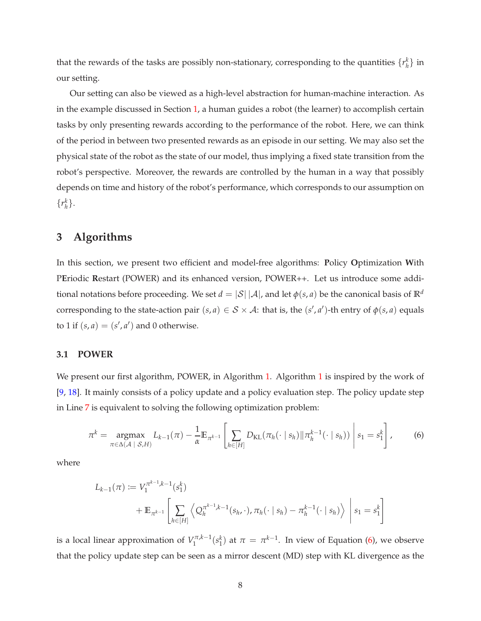that the rewards of the tasks are possibly non-stationary, corresponding to the quantities  $\{r_h^k\}$  in our setting.

Our setting can also be viewed as a high-level abstraction for human-machine interaction. As in the example discussed in Section [1,](#page-0-0) a human guides a robot (the learner) to accomplish certain tasks by only presenting rewards according to the performance of the robot. Here, we can think of the period in between two presented rewards as an episode in our setting. We may also set the physical state of the robot as the state of our model, thus implying a fixed state transition from the robot's perspective. Moreover, the rewards are controlled by the human in a way that possibly depends on time and history of the robot's performance, which corresponds to our assumption on  $\{r_h^k\}.$ 

# **3 Algorithms**

In this section, we present two efficient and model-free algorithms: **P**olicy **O**ptimization **W**ith P**E**riodic **R**estart (POWER) and its enhanced version, POWER++. Let us introduce some additional notations before proceeding. We set  $d = |\mathcal{S}| |\mathcal{A}|$ , and let  $\phi(s, a)$  be the canonical basis of  $\mathbb{R}^d$ corresponding to the state-action pair  $(s, a) \in S \times A$ : that is, the  $(s', a')$ -th entry of  $\phi(s, a)$  equals to 1 if  $(s, a) = (s', a')$  and 0 otherwise.

## **3.1 POWER**

We present our first algorithm, POWER, in Algorithm [1.](#page-9-0) Algorithm [1](#page-9-0) is inspired by the work of [\[9](#page-14-9), [18\]](#page-14-10). It mainly consists of a policy update and a policy evaluation step. The policy update step in Line [7](#page-19-0) is equivalent to solving the following optimization problem:

<span id="page-7-0"></span>
$$
\pi^{k} = \underset{\pi \in \Delta(\mathcal{A} \mid \mathcal{S}, H)}{\text{argmax}} L_{k-1}(\pi) - \frac{1}{\alpha} \mathbb{E}_{\pi^{k-1}} \left[ \sum_{h \in [H]} D_{\text{KL}}(\pi_{h}(\cdot \mid s_{h}) || \pi_{h}^{k-1}(\cdot \mid s_{h})) \middle| s_{1} = s_{1}^{k} \right], \tag{6}
$$

where

$$
L_{k-1}(\pi) := V_1^{\pi^{k-1},k-1}(s_1^k)
$$
  
+  $\mathbb{E}_{\pi^{k-1}}\left[\sum_{h \in [H]} \left\langle Q_h^{\pi^{k-1},k-1}(s_h,\cdot), \pi_h(\cdot \mid s_h) - \pi_h^{k-1}(\cdot \mid s_h) \right\rangle \middle| s_1 = s_1^k \right]$ 

is a local linear approximation of  $V_1^{\pi,k-1}(s_1^k)$  at  $\pi = \pi^{k-1}$ . In view of Equation [\(6\)](#page-7-0), we observe that the policy update step can be seen as a mirror descent (MD) step with KL divergence as the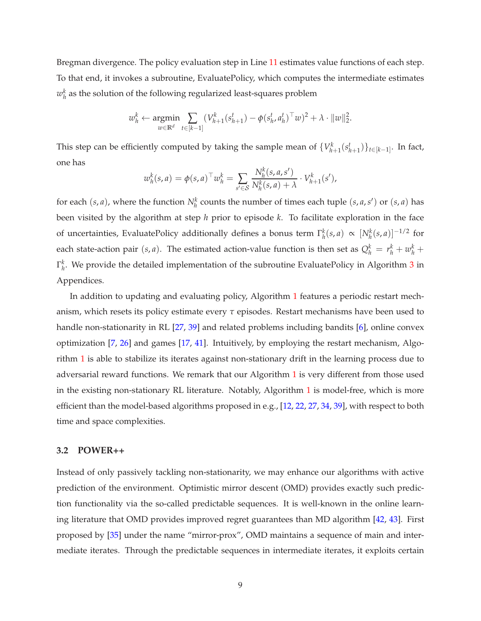Bregman divergence. The policy evaluation step in Line [11](#page-10-0) estimates value functions of each step. To that end, it invokes a subroutine, EvaluatePolicy, which computes the intermediate estimates  $w_h^k$  as the solution of the following regularized least-squares problem

$$
w_h^k \leftarrow \underset{w \in \mathbb{R}^d}{\text{argmin}} \sum_{t \in [k-1]} (V_{h+1}^k(s_{h+1}^t) - \phi(s_h^t, a_h^t)^\top w)^2 + \lambda \cdot \|w\|_2^2.
$$

This step can be efficiently computed by taking the sample mean of  $\{V_{h+1}^k(s_{h+1}^t)\}_{t\in[k-1]}$ . In fact, one has

$$
w_h^k(s, a) = \phi(s, a)^\top w_h^k = \sum_{s' \in \mathcal{S}} \frac{N_h^k(s, a, s')}{N_h^k(s, a) + \lambda} \cdot V_{h+1}^k(s'),
$$

for each  $(s, a)$ , where the function  $N_h^k$  counts the number of times each tuple  $(s, a, s')$  or  $(s, a)$  has been visited by the algorithm at step *h* prior to episode *k*. To facilitate exploration in the face of uncertainties, EvaluatePolicy additionally defines a bonus term  $\Gamma_h^k(s, a) \propto [N_h^k(s, a)]^{-1/2}$  for each state-action pair  $(s, a)$ . The estimated action-value function is then set as  $Q_h^k = r_h^k + w_h^k +$  $\Gamma_h^k$ . We provide the detailed implementation of the subroutine EvaluatePolicy in Algorithm [3](#page-19-1) in Appendices.

In addition to updating and evaluating policy, Algorithm [1](#page-9-0) features a periodic restart mechanism, which resets its policy estimate every *τ* episodes. Restart mechanisms have been used to handle non-stationarity in RL [\[27,](#page-15-4) [39\]](#page-16-1) and related problems including bandits [\[6](#page-13-1)], online convex optimization [\[7,](#page-13-2) [26\]](#page-15-7) and games [\[17,](#page-14-5) [41\]](#page-16-0). Intuitively, by employing the restart mechanism, Algorithm [1](#page-9-0) is able to stabilize its iterates against non-stationary drift in the learning process due to adversarial reward functions. We remark that our Algorithm [1](#page-9-0) is very different from those used in the existing non-stationary RL literature. Notably, Algorithm [1](#page-9-0) is model-free, which is more efficient than the model-based algorithms proposed in e.g., [\[12](#page-14-4), [22](#page-15-5), [27](#page-15-4), [34,](#page-16-2) [39\]](#page-16-1), with respect to both time and space complexities.

## **3.2 POWER++**

Instead of only passively tackling non-stationarity, we may enhance our algorithms with active prediction of the environment. Optimistic mirror descent (OMD) provides exactly such prediction functionality via the so-called predictable sequences. It is well-known in the online learning literature that OMD provides improved regret guarantees than MD algorithm [\[42](#page-16-8), [43](#page-17-9)]. First proposed by [\[35\]](#page-16-9) under the name "mirror-prox", OMD maintains a sequence of main and intermediate iterates. Through the predictable sequences in intermediate iterates, it exploits certain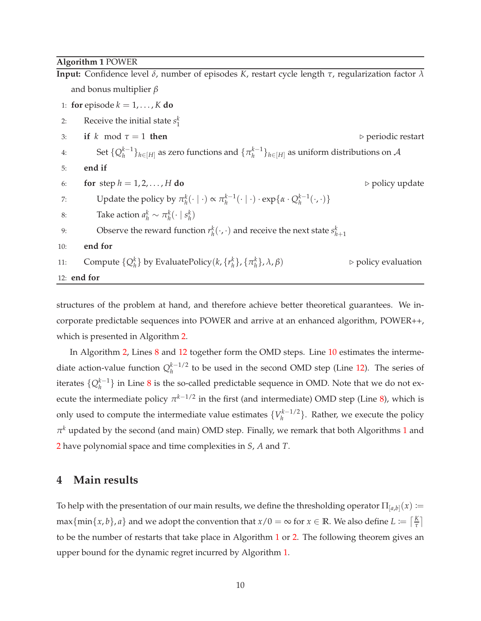### <span id="page-9-0"></span>**Algorithm 1** POWER

**Input:** Confidence level *δ*, number of episodes *K*, restart cycle length *τ*, regularization factor *λ* and bonus multiplier *β* 1: **for** episode  $k = 1, \ldots, K$  **do** 2: Receive the initial state  $s_1^k$ 3: **if**  $k \mod \tau = 1$  **then**  $\triangleright$  periodic restart 4: Set  $\{Q_h^{k-1}\}_{h\in[H]}$  as zero functions and  $\{\pi_h^{k-1}\}_{h\in[H]}$  as uniform distributions on A 5: **end if** 6: **for** step  $h = 1, 2, ..., H$  **do**  $\triangleright$  policy update 7: Update the policy by  $\pi_h^k(\cdot | \cdot) \propto \pi_h^{k-1}(\cdot | \cdot) \cdot \exp\{\alpha \cdot Q_h^{k-1}(\cdot, \cdot)\}\$ 8: Take action  $a_h^k \sim \pi_h^k(\cdot \mid s_h^k)$ 9: Observe the reward function  $r_h^k(\cdot, \cdot)$  and receive the next state  $s_{h+1}^k$ 10: **end for** 11: Compute  $\{Q_h^k\}$  by EvaluatePolicy( $k, \{r_h^k\}, \{\pi_h^k\}$ }, *<sup>λ</sup>*, *<sup>β</sup>*) <sup>⊲</sup> policy evaluation 12: **end for**

structures of the problem at hand, and therefore achieve better theoretical guarantees. We incorporate predictable sequences into POWER and arrive at an enhanced algorithm, POWER++, which is presented in Algorithm [2.](#page-10-1)

In Algorithm [2,](#page-10-1) Lines [8](#page-19-2) and [12](#page-10-2) together form the OMD steps. Line [10](#page-10-3) estimates the intermediate action-value function  $Q_h^{k-1/2}$  to be used in the second OMD step (Line [12\)](#page-10-2). The series of iterates  $\{Q_h^{k-1}\}\$  in Line [8](#page-19-2) is the so-called predictable sequence in OMD. Note that we do not execute the intermediate policy  $\pi^{k-1/2}$  in the first (and intermediate) OMD step (Line [8\)](#page-19-2), which is only used to compute the intermediate value estimates  $\{V_h^{k-1/2}\}\$ . Rather, we execute the policy  $\pi^k$  updated by the second (and main) OMD step. Finally, we remark that both Algorithms [1](#page-9-0) and [2](#page-10-1) have polynomial space and time complexities in *S*, *A* and *T*.

# **4 Main results**

<span id="page-9-1"></span>To help with the presentation of our main results, we define the thresholding operator  $\Pi_{[a,b]}(x)\coloneqq$ max  $\{\min\{x, b\}, a\}$  and we adopt the convention that  $x/0 = \infty$  for  $x \in \mathbb{R}$ . We also define  $L \coloneqq \lceil \frac{K}{\tau} \rceil$ *τ* to be the number of restarts that take place in Algorithm [1](#page-9-0) or [2.](#page-10-1) The following theorem gives an upper bound for the dynamic regret incurred by Algorithm [1.](#page-9-0)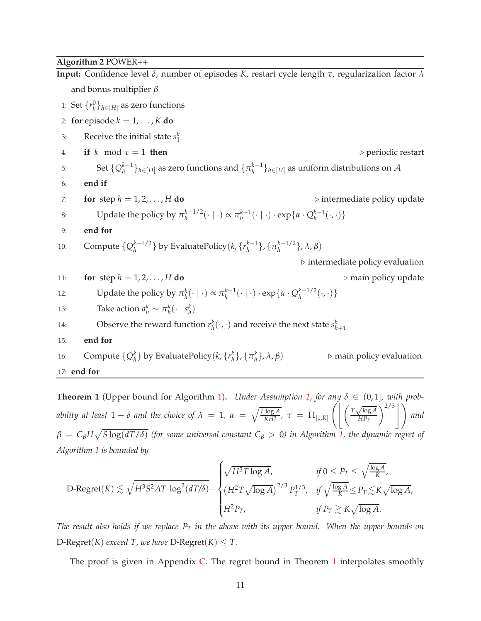### <span id="page-10-1"></span>**Algorithm 2** POWER++

**Input:** Confidence level *δ*, number of episodes *K*, restart cycle length *τ*, regularization factor *λ* and bonus multiplier *β* 1: Set  $\{r_h^0\}_{h \in [H]}$  as zero functions 2: **for** episode  $k = 1, \ldots, K$  **do** 3: Receive the initial state  $s_1^k$ 4: **if**  $k \mod \tau = 1$  **then**  $\triangleright$  periodic restart 5: Set  $\{Q_h^{k-1}\}_{h\in[H]}$  as zero functions and  $\{\pi_h^{k-1}\}_{h\in[H]}$  as uniform distributions on A 6: **end if** 7: **for** step  $h = 1, 2, ..., H$  **do**  $\triangleright$  intermediate policy update 8: Update the policy by  $\pi_h^{k-1/2}(\cdot \mid \cdot) \propto \pi_h^{k-1}(\cdot \mid \cdot) \cdot \exp{\{\alpha \cdot Q_h^{k-1}(\cdot, \cdot)\}}$ 9: **end for** 10: Compute  $\{Q_h^{k-1/2}\}\$  by EvaluatePolicy(*k*,  $\{r_h^{k-1}\}\$ ,  $\{\pi_h^{k-1/2}\}\$ ,  $\lambda$ , β) ⊲ intermediate policy evaluation 11: **for** step  $h = 1, 2, ..., H$  **do**  $\triangleright$  main policy update 12: Update the policy by  $\pi_h^k(\cdot \mid \cdot) \propto \pi_h^{k-1}(\cdot \mid \cdot) \cdot \exp\{\alpha \cdot Q_h^{k-1/2}(\cdot, \cdot)\}\$ 13: Take action  $a_h^k \sim \pi_h^k(\cdot \mid s_h^k)$ 14: Observe the reward function  $r_h^k(\cdot, \cdot)$  and receive the next state  $s_{h+1}^k$ 15: **end for** 16: Compute  $\{Q_h^k\}$  by EvaluatePolicy( $k, \{r_h^k\}, \{\pi_h^k\}$ }, *<sup>λ</sup>*, *<sup>β</sup>*) <sup>⊲</sup> main policy evaluation 17: **end for**

<span id="page-10-3"></span><span id="page-10-2"></span><span id="page-10-0"></span>**Theorem 1** (Upper bound for Algorithm [1\)](#page-9-0). *Under Assumption [1,](#page-5-0) for any*  $\delta \in (0,1]$ *, with probability at least*  $1 - \delta$  *and the choice of*  $\lambda = 1$ ,  $\alpha = \sqrt{\frac{L \log A}{KH^2}}$  $\frac{G_{1}G_{2}H_{2}}{KH^{2}}$ ,  $\tau = \Pi_{[1,K]}$  $\int$   $\int$   $T\sqrt{\log A}$  $\left\langle \frac{\log A}{HP_T} \right\rangle^{2/3} \Bigg| \ \Bigg)$  and  $\beta = C_\beta H \sqrt{S \log(dT/\delta)}$  (for some universal constant  $C_\beta > 0$ ) in Algorithm [1,](#page-9-0) the dynamic regret of *Algorithm [1](#page-9-0) is bounded by*

$$
\text{D-Regret}(K) \lesssim \sqrt{H^3 S^2 A T \cdot \log^2(dT/\delta)} + \begin{cases} \sqrt{H^3 T \log A}, & \text{if } 0 \le P_T \le \sqrt{\frac{\log A}{K}}, \\ \left(H^2 T \sqrt{\log A}\right)^{2/3} P_T^{1/3}, & \text{if } \sqrt{\frac{\log A}{K}} \le P_T \lesssim K \sqrt{\log A}, \\ H^2 P_T, & \text{if } P_T \gtrsim K \sqrt{\log A}. \end{cases}
$$

*The result also holds if we replace P<sup>T</sup> in the above with its upper bound. When the upper bounds on* D-Regret(*K*) *exceed T*, we have D-Regret(*K*)  $\leq$  *T*.

The proof is given in Appendix [C.](#page-28-0) The regret bound in Theorem [1](#page-9-1) interpolates smoothly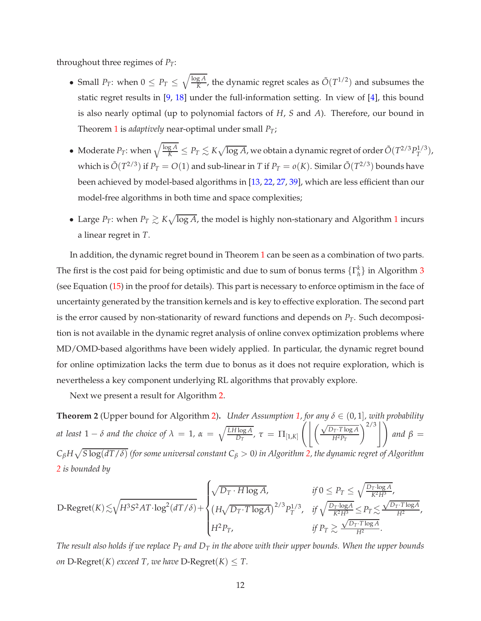throughout three regimes of  $P_T$ :

- Small  $P_T$ : when  $0 \le P_T \le \sqrt{\frac{\log A}{K}}$  $\frac{gA}{K}$ , the dynamic regret scales as  $\tilde{O}(T^{1/2})$  and subsumes the static regret results in [\[9](#page-14-9), [18](#page-14-10)] under the full-information setting. In view of [\[4](#page-13-5)], this bound is also nearly optimal (up to polynomial factors of *H*, *S* and *A*). Therefore, our bound in Theorem [1](#page-9-1) is *adaptively* near-optimal under small *PT*;
- Moderate  $P_T$ : when  $\sqrt{\frac{\log A}{K}} \leq P_T \lesssim K \sqrt{\log A}$ , we obtain a dynamic regret of order  $\tilde O(T^{2/3} P_T^{1/3})$  $T^{1/3}$ ), which is  $\tilde{O}(T^{2/3})$  if  $P_T = O(1)$  and sub-linear in  $T$  if  $P_T = o(K)$ . Similar  $\tilde{O}(T^{2/3})$  bounds have been achieved by model-based algorithms in [\[13,](#page-14-1) [22](#page-15-5), [27](#page-15-4), [39](#page-16-1)], which are less efficient than our model-free algorithms in both time and space complexities;
- Large  $P_T$ : when  $P_T \gtrsim K \sqrt{\log A}$ , the model is highly non-stationary and Algorithm [1](#page-9-0) incurs a linear regret in *T*.

In addition, the dynamic regret bound in Theorem [1](#page-9-1) can be seen as a combination of two parts. The first is the cost paid for being optimistic and due to sum of bonus terms  $\{\Gamma_h^k\}$  in Algorithm [3](#page-19-1) (see Equation [\(15\)](#page-28-1) in the proof for details). This part is necessary to enforce optimism in the face of uncertainty generated by the transition kernels and is key to effective exploration. The second part is the error caused by non-stationarity of reward functions and depends on  $P_T$ . Such decomposition is not available in the dynamic regret analysis of online convex optimization problems where MD/OMD-based algorithms have been widely applied. In particular, the dynamic regret bound for online optimization lacks the term due to bonus as it does not require exploration, which is nevertheless a key component underlying RL algorithms that provably explore.

<span id="page-11-0"></span>Next we present a result for Algorithm [2.](#page-10-1)

**Theorem 2** (Upper bound for Algorithm [2\)](#page-10-1). *Under Assumption [1,](#page-5-0) for any*  $\delta \in (0,1]$ *, with probability at least*  $1 - \delta$  *and the choice of*  $\lambda = 1$ ,  $\alpha = \sqrt{\frac{LH \log A}{D_T}}$  $\frac{\log A}{D_T}$ ,  $\tau = \Pi_{[1,K]}$  $\left( \frac{\sqrt{D_T \cdot T \log A}}{}$  $\left(\frac{\rho_T \cdot T \log A}{H^2 P_T}\right)^{2/3}$  and  $\beta =$  $C_\beta$ H $\sqrt{S\log(dT/\delta)}$  (for some universal constant  $C_\beta>0$ ) in Algorithm [2,](#page-10-1) the dynamic regret of Algorithm *[2](#page-10-1) is bounded by*

$$
\text{D-Regret}(K) \lesssim \sqrt{H^3 S^2 AT \cdot \log^2(dT/\delta)} + \begin{cases} \sqrt{D_T \cdot H \log A}, & \text{if } 0 \leq P_T \leq \sqrt{\frac{D_T \cdot \log A}{K^2 H^3}}, \\ \left(H \sqrt{D_T \cdot T \log A}\right)^{2/3} P_T^{1/3}, & \text{if } \sqrt{\frac{D_T \cdot \log A}{K^2 H^3}} \leq P_T \lesssim \frac{\sqrt{D_T \cdot T \log A}}{H^2}, \\ H^2 P_T, & \text{if } P_T \gtrsim \frac{\sqrt{D_T \cdot T \log A}}{H^2}. \end{cases}
$$

*The result also holds if we replace P<sup>T</sup> and D<sup>T</sup> in the above with their upper bounds. When the upper bounds on*  $D$ -Regret(*K*) *exceed*  $T$ *, we have*  $D$ -Regret(*K*)  $\leq T$ *.*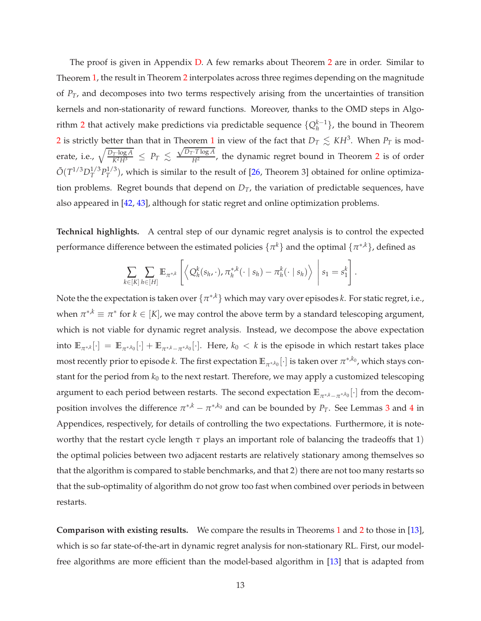The proof is given in Appendix [D.](#page-29-0) A few remarks about Theorem [2](#page-11-0) are in order. Similar to Theorem [1,](#page-9-1) the result in Theorem [2](#page-11-0) interpolates across three regimes depending on the magnitude of *PT*, and decomposes into two terms respectively arising from the uncertainties of transition kernels and non-stationarity of reward functions. Moreover, thanks to the OMD steps in Algo-rithm [2](#page-10-1) that actively make predictions via predictable sequence  $\{Q_h^{k-1}\}$ , the bound in Theorem [2](#page-11-0) is strictly better than that in Theorem [1](#page-9-1) in view of the fact that  $D_T\lesssim\,K$ H<sup>3</sup>. When  $P_T$  is moderate, i.e.,  $\sqrt{\frac{D_T \cdot \log A}{K^2 H^3}} \leq P_T \lesssim$  $\sqrt{D_T \cdot T \log A}$  $\frac{1}{H^2}$  $\frac{1}{H^2}$  $\frac{1}{H^2}$ , the dynamic regret bound in Theorem 2 is of order  $\tilde{O}(T^{1/3}D_T^{1/3})$  $_{T}^{1/3}P_{T}^{1/3}$  $T^{(1/3)}$ , which is similar to the result of  $[26,$  Theorem 3] obtained for online optimization problems. Regret bounds that depend on *DT*, the variation of predictable sequences, have also appeared in [\[42,](#page-16-8) [43](#page-17-9)], although for static regret and online optimization problems.

**Technical highlights.** A central step of our dynamic regret analysis is to control the expected performance difference between the estimated policies  $\{\pi^k\}$  and the optimal  $\{\pi^{*,k}\}$ , defined as

$$
\sum_{k\in[K]}\sum_{h\in[H]}\mathbb{E}_{\pi^{*,k}}\left[\left\langle Q_h^k(s_h,\cdot),\pi_h^{*,k}(\cdot\mid s_h)-\pi_h^k(\cdot\mid s_h)\right\rangle\;\middle|\;s_1=s_1^k\right].
$$

Note the the expectation is taken over  $\{\pi^{*,k}\}$  which may vary over episodes *k*. For static regret, i.e., when  $\pi^{*,k} \equiv \pi^*$  for  $k \in [K]$ , we may control the above term by a standard telescoping argument, which is not viable for dynamic regret analysis. Instead, we decompose the above expectation into  $\mathbb{E}_{\pi^{*,k}}[\cdot] = \mathbb{E}_{\pi^{*,k_0}}[\cdot] + \mathbb{E}_{\pi^{*,k} - \pi^{*,k_0}}[\cdot]$ . Here,  $k_0 < k$  is the episode in which restart takes place most recently prior to episode *k*. The first expectation  $\mathbb{E}_{\pi^{*,k_0}}[\cdot]$  is taken over  $\pi^{*,k_0}$ , which stays constant for the period from  $k_0$  to the next restart. Therefore, we may apply a customized telescoping argument to each period between restarts. The second expectation **<sup>E</sup>***π*∗,*k*−*<sup>π</sup>* ∗,*k*0 [·] from the decomposition involves the difference  $\pi^{*,k} - \pi^{*,k_0}$  and can be bounded by  $P_T$ . See Lemmas [3](#page-20-0) and [4](#page-22-0) in Appendices, respectively, for details of controlling the two expectations. Furthermore, it is noteworthy that the restart cycle length *τ* plays an important role of balancing the tradeoffs that 1) the optimal policies between two adjacent restarts are relatively stationary among themselves so that the algorithm is compared to stable benchmarks, and that 2) there are not too many restarts so that the sub-optimality of algorithm do not grow too fast when combined over periods in between restarts.

**Comparison with existing results.** We compare the results in Theorems [1](#page-9-1) and [2](#page-10-1) to those in [\[13\]](#page-14-1), which is so far state-of-the-art in dynamic regret analysis for non-stationary RL. First, our modelfree algorithms are more efficient than the model-based algorithm in [\[13\]](#page-14-1) that is adapted from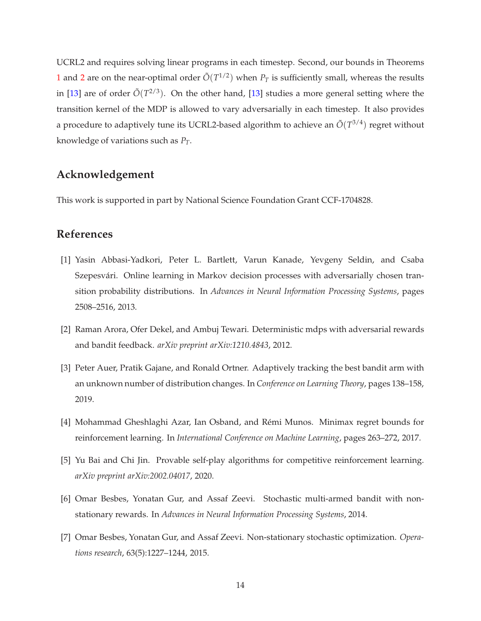UCRL2 and requires solving linear programs in each timestep. Second, our bounds in Theorems [1](#page-9-1) and [2](#page-11-0) are on the near-optimal order  $\tilde{O}(T^{1/2})$  when  $P_T$  is sufficiently small, whereas the results in [\[13\]](#page-14-1) are of order  $\tilde{O}(T^{2/3})$ . On the other hand, [\[13](#page-14-1)] studies a more general setting where the transition kernel of the MDP is allowed to vary adversarially in each timestep. It also provides a procedure to adaptively tune its UCRL2-based algorithm to achieve an  $\tilde{O}(T^{3/4})$  regret without knowledge of variations such as *PT*.

# **Acknowledgement**

This work is supported in part by National Science Foundation Grant CCF-1704828.

# **References**

- <span id="page-13-3"></span>[1] Yasin Abbasi-Yadkori, Peter L. Bartlett, Varun Kanade, Yevgeny Seldin, and Csaba Szepesvári. Online learning in Markov decision processes with adversarially chosen transition probability distributions. In *Advances in Neural Information Processing Systems*, pages 2508–2516, 2013.
- <span id="page-13-4"></span>[2] Raman Arora, Ofer Dekel, and Ambuj Tewari. Deterministic mdps with adversarial rewards and bandit feedback. *arXiv preprint arXiv:1210.4843*, 2012.
- <span id="page-13-0"></span>[3] Peter Auer, Pratik Gajane, and Ronald Ortner. Adaptively tracking the best bandit arm with an unknown number of distribution changes. In *Conference on Learning Theory*, pages 138–158, 2019.
- <span id="page-13-5"></span>[4] Mohammad Gheshlaghi Azar, Ian Osband, and Rémi Munos. Minimax regret bounds for reinforcement learning. In *International Conference on Machine Learning*, pages 263–272, 2017.
- <span id="page-13-6"></span>[5] Yu Bai and Chi Jin. Provable self-play algorithms for competitive reinforcement learning. *arXiv preprint arXiv:2002.04017*, 2020.
- <span id="page-13-1"></span>[6] Omar Besbes, Yonatan Gur, and Assaf Zeevi. Stochastic multi-armed bandit with nonstationary rewards. In *Advances in Neural Information Processing Systems*, 2014.
- <span id="page-13-2"></span>[7] Omar Besbes, Yonatan Gur, and Assaf Zeevi. Non-stationary stochastic optimization. *Operations research*, 63(5):1227–1244, 2015.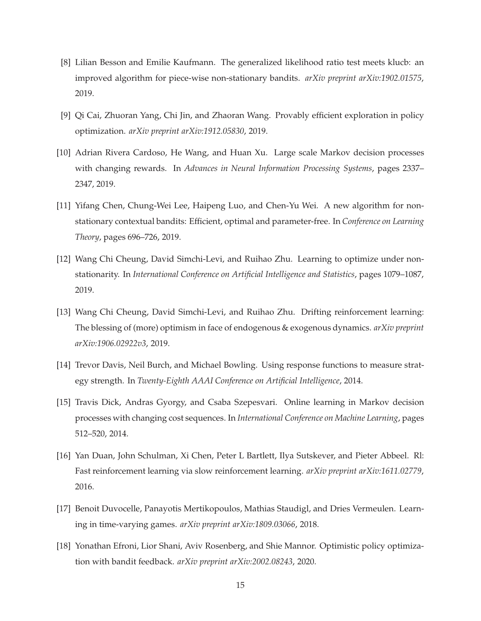- <span id="page-14-2"></span>[8] Lilian Besson and Emilie Kaufmann. The generalized likelihood ratio test meets klucb: an improved algorithm for piece-wise non-stationary bandits. *arXiv preprint arXiv:1902.01575*, 2019.
- <span id="page-14-9"></span>[9] Qi Cai, Zhuoran Yang, Chi Jin, and Zhaoran Wang. Provably efficient exploration in policy optimization. *arXiv preprint arXiv:1912.05830*, 2019.
- <span id="page-14-7"></span>[10] Adrian Rivera Cardoso, He Wang, and Huan Xu. Large scale Markov decision processes with changing rewards. In *Advances in Neural Information Processing Systems*, pages 2337– 2347, 2019.
- <span id="page-14-3"></span>[11] Yifang Chen, Chung-Wei Lee, Haipeng Luo, and Chen-Yu Wei. A new algorithm for nonstationary contextual bandits: Efficient, optimal and parameter-free. In *Conference on Learning Theory*, pages 696–726, 2019.
- <span id="page-14-4"></span>[12] Wang Chi Cheung, David Simchi-Levi, and Ruihao Zhu. Learning to optimize under nonstationarity. In *International Conference on Artificial Intelligence and Statistics*, pages 1079–1087, 2019.
- <span id="page-14-1"></span>[13] Wang Chi Cheung, David Simchi-Levi, and Ruihao Zhu. Drifting reinforcement learning: The blessing of (more) optimism in face of endogenous & exogenous dynamics. *arXiv preprint arXiv:1906.02922v3*, 2019.
- <span id="page-14-6"></span>[14] Trevor Davis, Neil Burch, and Michael Bowling. Using response functions to measure strategy strength. In *Twenty-Eighth AAAI Conference on Artificial Intelligence*, 2014.
- <span id="page-14-8"></span>[15] Travis Dick, Andras Gyorgy, and Csaba Szepesvari. Online learning in Markov decision processes with changing cost sequences. In *International Conference on Machine Learning*, pages 512–520, 2014.
- <span id="page-14-0"></span>[16] Yan Duan, John Schulman, Xi Chen, Peter L Bartlett, Ilya Sutskever, and Pieter Abbeel. Rl: Fast reinforcement learning via slow reinforcement learning. *arXiv preprint arXiv:1611.02779*, 2016.
- <span id="page-14-5"></span>[17] Benoit Duvocelle, Panayotis Mertikopoulos, Mathias Staudigl, and Dries Vermeulen. Learning in time-varying games. *arXiv preprint arXiv:1809.03066*, 2018.
- <span id="page-14-10"></span>[18] Yonathan Efroni, Lior Shani, Aviv Rosenberg, and Shie Mannor. Optimistic policy optimization with bandit feedback. *arXiv preprint arXiv:2002.08243*, 2020.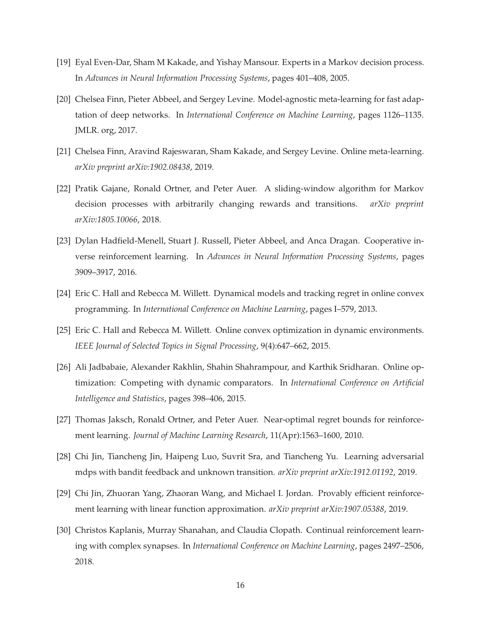- <span id="page-15-8"></span>[19] Eyal Even-Dar, Sham M Kakade, and Yishay Mansour. Experts in a Markov decision process. In *Advances in Neural Information Processing Systems*, pages 401–408, 2005.
- <span id="page-15-1"></span>[20] Chelsea Finn, Pieter Abbeel, and Sergey Levine. Model-agnostic meta-learning for fast adaptation of deep networks. In *International Conference on Machine Learning*, pages 1126–1135. JMLR. org, 2017.
- <span id="page-15-2"></span>[21] Chelsea Finn, Aravind Rajeswaran, Sham Kakade, and Sergey Levine. Online meta-learning. *arXiv preprint arXiv:1902.08438*, 2019.
- <span id="page-15-5"></span>[22] Pratik Gajane, Ronald Ortner, and Peter Auer. A sliding-window algorithm for Markov decision processes with arbitrarily changing rewards and transitions. *arXiv preprint arXiv:1805.10066*, 2018.
- <span id="page-15-3"></span>[23] Dylan Hadfield-Menell, Stuart J. Russell, Pieter Abbeel, and Anca Dragan. Cooperative inverse reinforcement learning. In *Advances in Neural Information Processing Systems*, pages 3909–3917, 2016.
- <span id="page-15-6"></span>[24] Eric C. Hall and Rebecca M. Willett. Dynamical models and tracking regret in online convex programming. In *International Conference on Machine Learning*, pages I–579, 2013.
- <span id="page-15-10"></span>[25] Eric C. Hall and Rebecca M. Willett. Online convex optimization in dynamic environments. *IEEE Journal of Selected Topics in Signal Processing*, 9(4):647–662, 2015.
- <span id="page-15-7"></span>[26] Ali Jadbabaie, Alexander Rakhlin, Shahin Shahrampour, and Karthik Sridharan. Online optimization: Competing with dynamic comparators. In *International Conference on Artificial Intelligence and Statistics*, pages 398–406, 2015.
- <span id="page-15-4"></span>[27] Thomas Jaksch, Ronald Ortner, and Peter Auer. Near-optimal regret bounds for reinforcement learning. *Journal of Machine Learning Research*, 11(Apr):1563–1600, 2010.
- <span id="page-15-9"></span>[28] Chi Jin, Tiancheng Jin, Haipeng Luo, Suvrit Sra, and Tiancheng Yu. Learning adversarial mdps with bandit feedback and unknown transition. *arXiv preprint arXiv:1912.01192*, 2019.
- <span id="page-15-11"></span>[29] Chi Jin, Zhuoran Yang, Zhaoran Wang, and Michael I. Jordan. Provably efficient reinforcement learning with linear function approximation. *arXiv preprint arXiv:1907.05388*, 2019.
- <span id="page-15-0"></span>[30] Christos Kaplanis, Murray Shanahan, and Claudia Clopath. Continual reinforcement learning with complex synapses. In *International Conference on Machine Learning*, pages 2497–2506, 2018.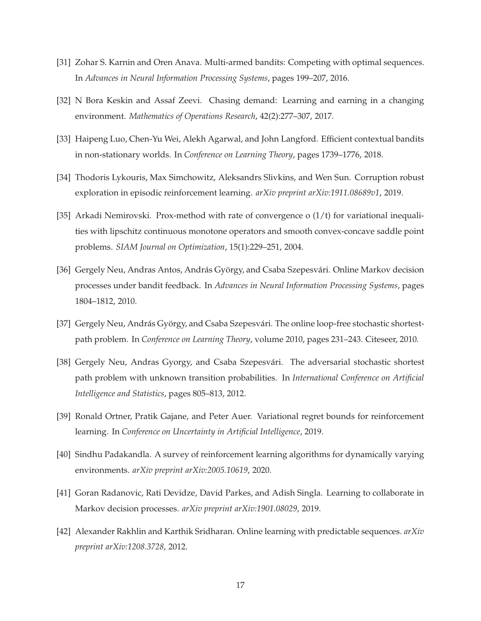- <span id="page-16-4"></span>[31] Zohar S. Karnin and Oren Anava. Multi-armed bandits: Competing with optimal sequences. In *Advances in Neural Information Processing Systems*, pages 199–207, 2016.
- [32] N Bora Keskin and Assaf Zeevi. Chasing demand: Learning and earning in a changing environment. *Mathematics of Operations Research*, 42(2):277–307, 2017.
- <span id="page-16-5"></span>[33] Haipeng Luo, Chen-Yu Wei, Alekh Agarwal, and John Langford. Efficient contextual bandits in non-stationary worlds. In *Conference on Learning Theory*, pages 1739–1776, 2018.
- <span id="page-16-2"></span>[34] Thodoris Lykouris, Max Simchowitz, Aleksandrs Slivkins, and Wen Sun. Corruption robust exploration in episodic reinforcement learning. *arXiv preprint arXiv:1911.08689v1*, 2019.
- <span id="page-16-9"></span>[35] Arkadi Nemirovski. Prox-method with rate of convergence o (1/t) for variational inequalities with lipschitz continuous monotone operators and smooth convex-concave saddle point problems. *SIAM Journal on Optimization*, 15(1):229–251, 2004.
- <span id="page-16-6"></span>[36] Gergely Neu, Andras Antos, András György, and Csaba Szepesvári. Online Markov decision processes under bandit feedback. In *Advances in Neural Information Processing Systems*, pages 1804–1812, 2010.
- [37] Gergely Neu, András György, and Csaba Szepesvári. The online loop-free stochastic shortestpath problem. In *Conference on Learning Theory*, volume 2010, pages 231–243. Citeseer, 2010.
- <span id="page-16-7"></span>[38] Gergely Neu, Andras Gyorgy, and Csaba Szepesvári. The adversarial stochastic shortest path problem with unknown transition probabilities. In *International Conference on Artificial Intelligence and Statistics*, pages 805–813, 2012.
- <span id="page-16-1"></span>[39] Ronald Ortner, Pratik Gajane, and Peter Auer. Variational regret bounds for reinforcement learning. In *Conference on Uncertainty in Artificial Intelligence*, 2019.
- <span id="page-16-3"></span>[40] Sindhu Padakandla. A survey of reinforcement learning algorithms for dynamically varying environments. *arXiv preprint arXiv:2005.10619*, 2020.
- <span id="page-16-0"></span>[41] Goran Radanovic, Rati Devidze, David Parkes, and Adish Singla. Learning to collaborate in Markov decision processes. *arXiv preprint arXiv:1901.08029*, 2019.
- <span id="page-16-8"></span>[42] Alexander Rakhlin and Karthik Sridharan. Online learning with predictable sequences. *arXiv preprint arXiv:1208.3728*, 2012.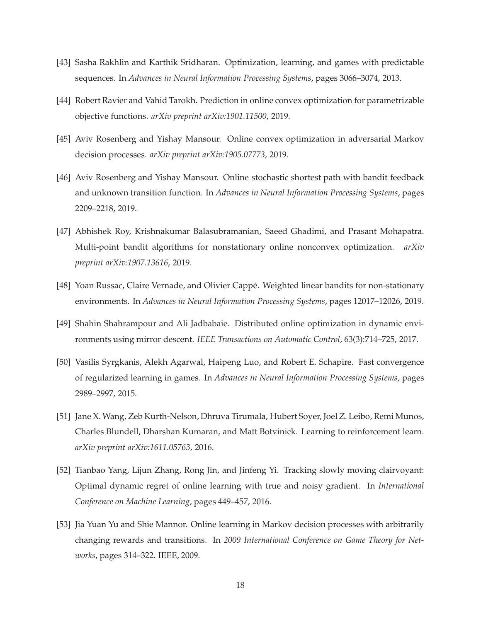- <span id="page-17-9"></span>[43] Sasha Rakhlin and Karthik Sridharan. Optimization, learning, and games with predictable sequences. In *Advances in Neural Information Processing Systems*, pages 3066–3074, 2013.
- <span id="page-17-2"></span>[44] Robert Ravier and Vahid Tarokh. Prediction in online convex optimization for parametrizable objective functions. *arXiv preprint arXiv:1901.11500*, 2019.
- <span id="page-17-6"></span>[45] Aviv Rosenberg and Yishay Mansour. Online convex optimization in adversarial Markov decision processes. *arXiv preprint arXiv:1905.07773*, 2019.
- <span id="page-17-7"></span>[46] Aviv Rosenberg and Yishay Mansour. Online stochastic shortest path with bandit feedback and unknown transition function. In *Advances in Neural Information Processing Systems*, pages 2209–2218, 2019.
- <span id="page-17-3"></span>[47] Abhishek Roy, Krishnakumar Balasubramanian, Saeed Ghadimi, and Prasant Mohapatra. Multi-point bandit algorithms for nonstationary online nonconvex optimization. *arXiv preprint arXiv:1907.13616*, 2019.
- <span id="page-17-1"></span>[48] Yoan Russac, Claire Vernade, and Olivier Cappé. Weighted linear bandits for non-stationary environments. In *Advances in Neural Information Processing Systems*, pages 12017–12026, 2019.
- <span id="page-17-4"></span>[49] Shahin Shahrampour and Ali Jadbabaie. Distributed online optimization in dynamic environments using mirror descent. *IEEE Transactions on Automatic Control*, 63(3):714–725, 2017.
- <span id="page-17-10"></span>[50] Vasilis Syrgkanis, Alekh Agarwal, Haipeng Luo, and Robert E. Schapire. Fast convergence of regularized learning in games. In *Advances in Neural Information Processing Systems*, pages 2989–2997, 2015.
- <span id="page-17-0"></span>[51] Jane X. Wang, Zeb Kurth-Nelson, Dhruva Tirumala, Hubert Soyer, Joel Z. Leibo, Remi Munos, Charles Blundell, Dharshan Kumaran, and Matt Botvinick. Learning to reinforcement learn. *arXiv preprint arXiv:1611.05763*, 2016.
- <span id="page-17-5"></span>[52] Tianbao Yang, Lijun Zhang, Rong Jin, and Jinfeng Yi. Tracking slowly moving clairvoyant: Optimal dynamic regret of online learning with true and noisy gradient. In *International Conference on Machine Learning*, pages 449–457, 2016.
- <span id="page-17-8"></span>[53] Jia Yuan Yu and Shie Mannor. Online learning in Markov decision processes with arbitrarily changing rewards and transitions. In *2009 International Conference on Game Theory for Networks*, pages 314–322. IEEE, 2009.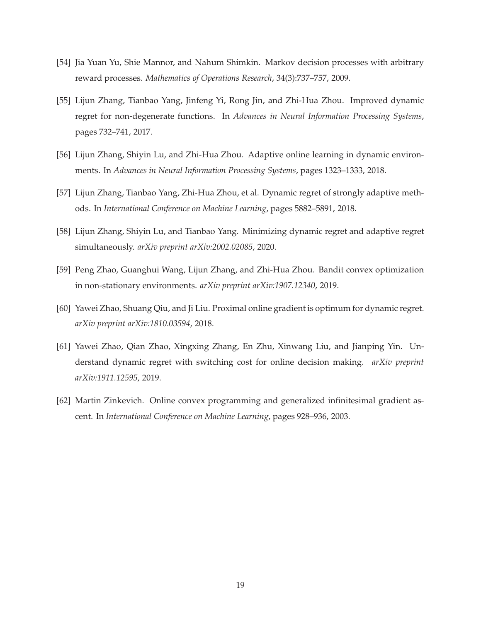- <span id="page-18-2"></span>[54] Jia Yuan Yu, Shie Mannor, and Nahum Shimkin. Markov decision processes with arbitrary reward processes. *Mathematics of Operations Research*, 34(3):737–757, 2009.
- <span id="page-18-0"></span>[55] Lijun Zhang, Tianbao Yang, Jinfeng Yi, Rong Jin, and Zhi-Hua Zhou. Improved dynamic regret for non-degenerate functions. In *Advances in Neural Information Processing Systems*, pages 732–741, 2017.
- [56] Lijun Zhang, Shiyin Lu, and Zhi-Hua Zhou. Adaptive online learning in dynamic environments. In *Advances in Neural Information Processing Systems*, pages 1323–1333, 2018.
- [57] Lijun Zhang, Tianbao Yang, Zhi-Hua Zhou, et al. Dynamic regret of strongly adaptive methods. In *International Conference on Machine Learning*, pages 5882–5891, 2018.
- [58] Lijun Zhang, Shiyin Lu, and Tianbao Yang. Minimizing dynamic regret and adaptive regret simultaneously. *arXiv preprint arXiv:2002.02085*, 2020.
- [59] Peng Zhao, Guanghui Wang, Lijun Zhang, and Zhi-Hua Zhou. Bandit convex optimization in non-stationary environments. *arXiv preprint arXiv:1907.12340*, 2019.
- [60] Yawei Zhao, Shuang Qiu, and Ji Liu. Proximal online gradient is optimum for dynamic regret. *arXiv preprint arXiv:1810.03594*, 2018.
- [61] Yawei Zhao, Qian Zhao, Xingxing Zhang, En Zhu, Xinwang Liu, and Jianping Yin. Understand dynamic regret with switching cost for online decision making. *arXiv preprint arXiv:1911.12595*, 2019.
- <span id="page-18-1"></span>[62] Martin Zinkevich. Online convex programming and generalized infinitesimal gradient ascent. In *International Conference on Machine Learning*, pages 928–936, 2003.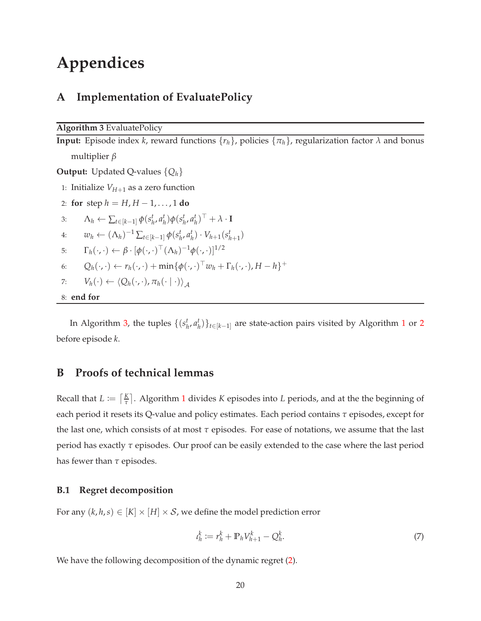# **Appendices**

# **A Implementation of EvaluatePolicy**

<span id="page-19-1"></span>**Algorithm 3** EvaluatePolicy

**Input:** Episode index *k*, reward functions  $\{r_h\}$ , policies  $\{\pi_h\}$ , regularization factor  $\lambda$  and bonus multiplier *β*

**Output:** Updated Q-values {*Qh*}

1: Initialize  $V_{H+1}$  as a zero function

<span id="page-19-4"></span>2: **for** step  $h = H, H - 1, ..., 1$  **do** 3:  $\Lambda_h \leftarrow \sum_{t \in [k-1]} \phi(s_h^t, a_h^t) \phi(s_h^t, a_h^t)^\top + \lambda \cdot \mathbf{I}$ 4:  $w_h \leftarrow (\Lambda_h)^{-1} \sum_{t \in [k-1]} \phi(s_h^t, a_h^t) \cdot V_{h+1}(s_{h+1}^t)$ 5:  $\Gamma_h(\cdot,\cdot) \leftarrow \beta \cdot [\phi(\cdot,\cdot)^\top (\Lambda_h)^{-1} \phi(\cdot,\cdot)]^{1/2}$ 6:  $Q_h(\cdot,\cdot) \leftarrow r_h(\cdot,\cdot) + \min{\{\phi(\cdot,\cdot)^\top w_h + \Gamma_h(\cdot,\cdot), H - h\}}^+$ 7:  $V_h(\cdot) \leftarrow \langle Q_h(\cdot, \cdot), \pi_h(\cdot \mid \cdot) \rangle_A$ 8: **end for**

<span id="page-19-2"></span><span id="page-19-0"></span>In Algorithm [3,](#page-19-1) the tuples  $\{(s_h^t, a_h^t)\}_{t \in [k-1]}$  $\{(s_h^t, a_h^t)\}_{t \in [k-1]}$  $\{(s_h^t, a_h^t)\}_{t \in [k-1]}$  are state-action pairs visited by Algorithm 1 or [2](#page-10-1) before episode *k*.

# **B Proofs of technical lemmas**

Recall that  $L \coloneqq \lceil \frac{K}{\tau} \rceil$ *τ* . Algorithm [1](#page-9-0) divides *K* episodes into *L* periods, and at the the beginning of each period it resets its Q-value and policy estimates. Each period contains *τ* episodes, except for the last one, which consists of at most *τ* episodes. For ease of notations, we assume that the last period has exactly *τ* episodes. Our proof can be easily extended to the case where the last period has fewer than *τ* episodes.

### **B.1 Regret decomposition**

For any  $(k, h, s) \in [K] \times [H] \times S$ , we define the model prediction error

$$
t_h^k := r_h^k + \mathbb{P}_h V_{h+1}^k - Q_h^k. \tag{7}
$$

<span id="page-19-3"></span>We have the following decomposition of the dynamic regret [\(2\)](#page-5-1).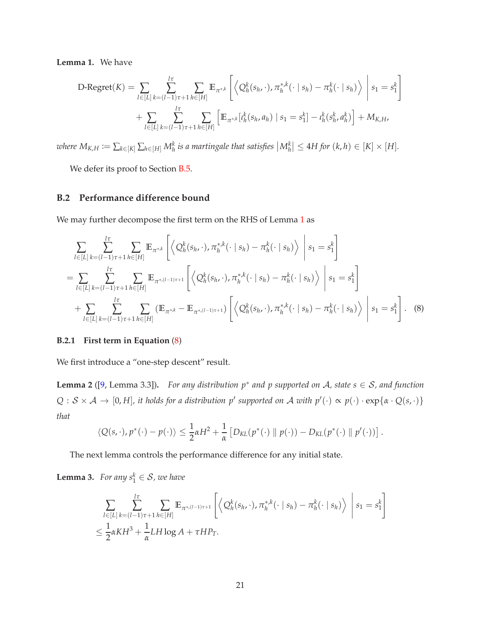**Lemma 1.** We have

$$
\text{D-Regret}(K) = \sum_{l \in [L]} \sum_{k=(l-1)\tau+1}^{l\tau} \sum_{h \in [H]} \mathbb{E}_{\pi^{*,k}} \left[ \left\langle Q_h^k(s_h, \cdot), \pi_h^{*,k}(\cdot \mid s_h) - \pi_h^k(\cdot \mid s_h) \right\rangle \middle| s_1 = s_1^k \right] + \sum_{l \in [L]} \sum_{k=(l-1)\tau+1}^{l\tau} \sum_{h \in [H]} \left[ \mathbb{E}_{\pi^{*,k}} [\iota_h^k(s_h, a_h) \mid s_1 = s_1^k] - \iota_h^k(s_h^k, a_h^k) \right] + M_{K,H},
$$

where  $M_{K,H}\coloneqq \sum_{k\in[K]}\sum_{h\in[H]}M_h^k$  is a martingale that satisfies  $\left|M_h^k\right|\leq 4H$  for  $(k,h)\in[K]\times[H].$ 

We defer its proof to Section [B.5.](#page-27-0)

## **B.2 Performance difference bound**

We may further decompose the first term on the RHS of Lemma [1](#page-19-3) as

$$
\sum_{l \in [L]} \sum_{k=(l-1)\tau+1}^{l\tau} \sum_{h \in [H]} \mathbb{E}_{\pi^{*k}} \left[ \left\langle Q_h^k(s_h, \cdot), \pi_h^{*,k}(\cdot \mid s_h) - \pi_h^k(\cdot \mid s_h) \right\rangle \middle| s_1 = s_1^k \right]
$$
\n
$$
= \sum_{l \in [L]} \sum_{k=(l-1)\tau+1}^{l\tau} \sum_{h \in [H]} \mathbb{E}_{\pi^{*,(l-1)\tau+1}} \left[ \left\langle Q_h^k(s_h, \cdot), \pi_h^{*,k}(\cdot \mid s_h) - \pi_h^k(\cdot \mid s_h) \right\rangle \middle| s_1 = s_1^k \right]
$$
\n
$$
+ \sum_{l \in [L]} \sum_{k=(l-1)\tau+1}^{l\tau} \sum_{h \in [H]} (\mathbb{E}_{\pi^{*,k}} - \mathbb{E}_{\pi^{*,(l-1)\tau+1}}) \left[ \left\langle Q_h^k(s_h, \cdot), \pi_h^{*,k}(\cdot \mid s_h) - \pi_h^k(\cdot \mid s_h) \right\rangle \middle| s_1 = s_1^k \right]. \tag{8}
$$

### **B.2.1 First term in Equation** [\(8\)](#page-20-1)

<span id="page-20-2"></span>We first introduce a "one-step descent" result.

**Lemma 2** ([\[9](#page-14-9), Lemma 3.3])**.** *For any distribution p*∗ *and p supported on* A*, state s* ∈ S*, and function*  $Q: \mathcal{S} \times \mathcal{A} \to [0, H]$ , it holds for a distribution  $p'$  supported on  $\mathcal{A}$  with  $p'(\cdot) \propto p(\cdot) \cdot \exp\{\alpha \cdot Q(s, \cdot)\}$ *that*

<span id="page-20-1"></span>
$$
\langle Q(s,\cdot),p^*(\cdot)-p(\cdot)\rangle\leq \frac{1}{2}\alpha H^2+\frac{1}{\alpha}\left[D_{KL}(p^*(\cdot)\parallel p(\cdot))-D_{KL}(p^*(\cdot)\parallel p'(\cdot))\right].
$$

<span id="page-20-0"></span>The next lemma controls the performance difference for any initial state.

**Lemma 3.** *For any*  $s_1^k \in S$ , *we have* 

$$
\sum_{l \in [L]} \sum_{k=(l-1)\tau+1}^{l\tau} \sum_{h \in [H]} \mathbb{E}_{\pi^{*,(l-1)\tau+1}} \left[ \left\langle Q_h^k(s_h, \cdot), \pi_h^{*,k}(\cdot \mid s_h) - \pi_h^k(\cdot \mid s_h) \right\rangle \middle| s_1 = s_1^k \right]
$$
  

$$
\leq \frac{1}{2} \alpha K H^3 + \frac{1}{\alpha} L H \log A + \tau H P_T.
$$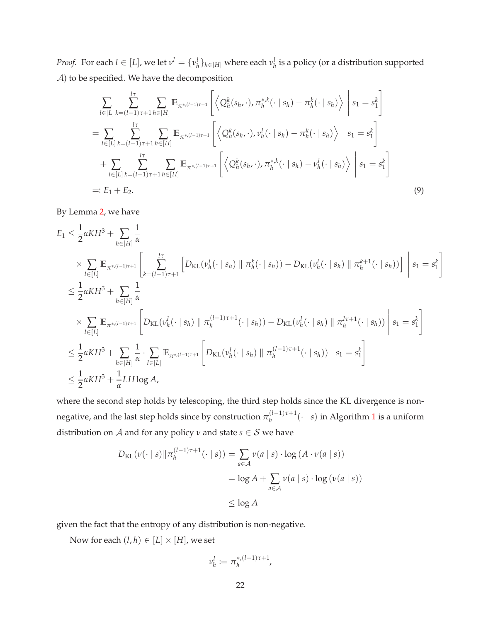*Proof.* For each  $l \in [L]$ , we let  $v^l = \{v^l_h\}_{h \in [H]}$  where each  $v^l_h$  is a policy (or a distribution supported A) to be specified. We have the decomposition

$$
\sum_{l \in [L]} \sum_{k=(l-1)\tau+1}^{l\tau} \sum_{h \in [H]} \mathbb{E}_{\pi^{*,(l-1)\tau+1}} \left[ \left\langle Q_h^k(s_h, \cdot), \pi_h^{*,k}(\cdot \mid s_h) - \pi_h^k(\cdot \mid s_h) \right\rangle \middle| s_1 = s_1^k \right]
$$
\n
$$
= \sum_{l \in [L]} \sum_{k=(l-1)\tau+1}^{l\tau} \sum_{h \in [H]} \mathbb{E}_{\pi^{*,(l-1)\tau+1}} \left[ \left\langle Q_h^k(s_h, \cdot), \nu_h^l(\cdot \mid s_h) - \pi_h^k(\cdot \mid s_h) \right\rangle \middle| s_1 = s_1^k \right]
$$
\n
$$
+ \sum_{l \in [L]} \sum_{k=(l-1)\tau+1}^{l\tau} \sum_{h \in [H]} \mathbb{E}_{\pi^{*,(l-1)\tau+1}} \left[ \left\langle Q_h^k(s_h, \cdot), \pi_h^{*,k}(\cdot \mid s_h) - \nu_h^l(\cdot \mid s_h) \right\rangle \middle| s_1 = s_1^k \right]
$$
\n
$$
=: E_1 + E_2.
$$
\n(9)

By Lemma [2,](#page-20-2) we have

$$
E_{1} \leq \frac{1}{2} \alpha KH^{3} + \sum_{h \in [H]} \frac{1}{\alpha}
$$
  
\n
$$
\times \sum_{l \in [L]} \mathbb{E}_{\pi^{*,(l-1)\tau+1}} \left[ \sum_{k=(l-1)\tau+1}^{l\tau} \left[ D_{\text{KL}}(\nu_{h}^{l}(\cdot \mid s_{h}) \mid \pi_{h}^{k}(\cdot \mid s_{h})) - D_{\text{KL}}(\nu_{h}^{l}(\cdot \mid s_{h}) \mid \pi_{h}^{k+1}(\cdot \mid s_{h})) \right] \right] s_{1} = s_{1}^{k}
$$
  
\n
$$
\leq \frac{1}{2} \alpha KH^{3} + \sum_{h \in [H]} \frac{1}{\alpha}
$$
  
\n
$$
\times \sum_{l \in [L]} \mathbb{E}_{\pi^{*,(l-1)\tau+1}} \left[ D_{\text{KL}}(\nu_{h}^{l}(\cdot \mid s_{h}) \mid \pi_{h}^{(l-1)\tau+1}(\cdot \mid s_{h})) - D_{\text{KL}}(\nu_{h}^{l}(\cdot \mid s_{h}) \mid \pi_{h}^{l\tau+1}(\cdot \mid s_{h})) \right] s_{1} = s_{1}^{k}
$$
  
\n
$$
\leq \frac{1}{2} \alpha KH^{3} + \sum_{h \in [H]} \frac{1}{\alpha} \cdot \sum_{l \in [L]} \mathbb{E}_{\pi^{*,(l-1)\tau+1}} \left[ D_{\text{KL}}(\nu_{h}^{l}(\cdot \mid s_{h}) \mid \pi_{h}^{(l-1)\tau+1}(\cdot \mid s_{h})) \right] s_{1} = s_{1}^{k}
$$
  
\n
$$
\leq \frac{1}{2} \alpha KH^{3} + \frac{1}{\alpha} LH \log A,
$$

where the second step holds by telescoping, the third step holds since the KL divergence is nonnegative, and the last step holds since by construction  $\pi_h^{(l-1)\tau+1}(\cdot \mid s)$  $\pi_h^{(l-1)\tau+1}(\cdot \mid s)$  $\pi_h^{(l-1)\tau+1}(\cdot \mid s)$  in Algorithm 1 is a uniform distribution on *A* and for any policy  $\nu$  and state  $s \in S$  we have

$$
D_{\text{KL}}(\nu(\cdot \mid s) \Vert \pi_h^{(l-1)\tau+1}(\cdot \mid s)) = \sum_{a \in \mathcal{A}} \nu(a \mid s) \cdot \log(A \cdot \nu(a \mid s))
$$
  
= log A +  $\sum_{a \in \mathcal{A}} \nu(a \mid s) \cdot \log(\nu(a \mid s))$   
 $\leq \log A$ 

given the fact that the entropy of any distribution is non-negative.

Now for each  $(l, h) \in [L] \times [H]$ , we set

$$
\nu_h^l \coloneqq \pi_h^{*,(l-1)\tau+1},
$$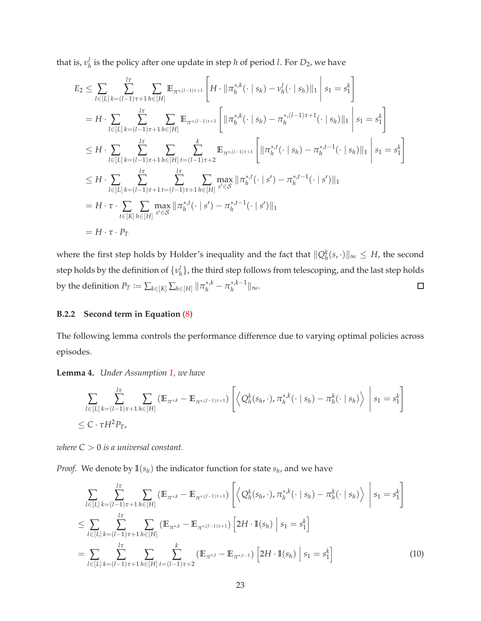that is,  $v_h^l$  is the policy after one update in step *h* of period *l*. For  $D_2$ , we have

$$
E_{2} \leq \sum_{l \in [L]} \sum_{k=(l-1)\tau+1}^{l\tau} \sum_{h \in [H]} \mathbb{E}_{\pi^{*(l-1)\tau+1}} \left[ H \cdot \|\pi_{h}^{*k}(\cdot \mid s_{h}) - \nu_{h}^{l}(\cdot \mid s_{h})\|_{1} \right] s_{1} = s_{1}^{k} \right]
$$
  
\n
$$
= H \cdot \sum_{l \in [L]} \sum_{k=(l-1)\tau+1}^{l\tau} \sum_{h \in [H]} \mathbb{E}_{\pi^{*(l-1)\tau+1}} \left[ \|\pi_{h}^{*k}(\cdot \mid s_{h}) - \pi_{h}^{*(l-1)\tau+1}(\cdot \mid s_{h})\|_{1} \right] s_{1} = s_{1}^{k} \right]
$$
  
\n
$$
\leq H \cdot \sum_{l \in [L]} \sum_{k=(l-1)\tau+1}^{l\tau} \sum_{h \in [H]} \sum_{h \in [H]} \sum_{t=(l-1)\tau+2}^{k} \mathbb{E}_{\pi^{*(l-1)\tau+1}} \left[ \|\pi_{h}^{*k}(\cdot \mid s_{h}) - \pi_{h}^{*k-1}(\cdot \mid s_{h})\|_{1} \right] s_{1} = s_{1}^{k} \right]
$$
  
\n
$$
\leq H \cdot \sum_{l \in [L]} \sum_{k=(l-1)\tau+1}^{l\tau} \sum_{t=(l-1)\tau+1}^{l\tau} \sum_{h \in [H]} \max_{s' \in S} \|\pi_{h}^{*k}(\cdot \mid s') - \pi_{h}^{*k-1}(\cdot \mid s')\|_{1}
$$
  
\n
$$
= H \cdot \tau \cdot \sum_{t \in [K]} \sum_{h \in [H]} \max_{s' \in S} \|\pi_{h}^{*k}(\cdot \mid s') - \pi_{h}^{*k-1}(\cdot \mid s')\|_{1}
$$
  
\n
$$
= H \cdot \tau \cdot P_{T}
$$

where the first step holds by Holder's inequality and the fact that  $\|Q_h^k(s, \cdot)\|_{\infty} \leq H$ , the second step holds by the definition of  $\{v_h^l\}$ , the third step follows from telescoping, and the last step holds by the definition  $P_T \coloneqq \sum_{k \in [K]} \sum_{h \in [H]} ||\pi_h^{*,k} - \pi_h^{*,k-1}||_{\infty}$ .  $\Box$ 

## **B.2.2 Second term in Equation** [\(8\)](#page-20-1)

<span id="page-22-0"></span>The following lemma controls the performance difference due to varying optimal policies across episodes.

**Lemma 4.** *Under Assumption [1,](#page-5-0) we have*

$$
\sum_{l \in [L]} \sum_{k=(l-1)\tau+1}^{l\tau} \sum_{h \in [H]} (\mathbb{E}_{\pi^{*,k}} - \mathbb{E}_{\pi^{*,(l-1)\tau+1}}) \left[ \left\langle Q_h^k(s_h, \cdot), \pi_h^{*,k}(\cdot \mid s_h) - \pi_h^k(\cdot \mid s_h) \right\rangle \middle| s_1 = s_1^k \right]
$$
  
 
$$
\leq C \cdot \tau H^2 P_T,
$$

*where C* > 0 *is a universal constant.*

*Proof.* We denote by  $\mathbb{I}(s_h)$  the indicator function for state  $s_h$ , and we have

<span id="page-22-1"></span>
$$
\sum_{l\in[L]} \sum_{k=(l-1)\tau+1}^{l\tau} \sum_{h\in[H]} (\mathbb{E}_{\pi^{*k}} - \mathbb{E}_{\pi^{*(l-1)\tau+1}}) \left[ \left\langle Q_h^k(s_h, \cdot), \pi_h^{*k}(\cdot \mid s_h) - \pi_h^k(\cdot \mid s_h) \right\rangle \middle| s_1 = s_1^k \right]
$$
\n
$$
\leq \sum_{l\in[L]} \sum_{k=(l-1)\tau+1}^{l\tau} \sum_{h\in[H]} (\mathbb{E}_{\pi^{*k}} - \mathbb{E}_{\pi^{*(l-1)\tau+1}}) \left[ 2H \cdot \mathbb{I}(s_h) \mid s_1 = s_1^k \right]
$$
\n
$$
= \sum_{l\in[L]} \sum_{k=(l-1)\tau+1}^{l\tau} \sum_{h\in[H]} \sum_{t=(l-1)\tau+2}^{k} (\mathbb{E}_{\pi^{*k}} - \mathbb{E}_{\pi^{*k}}) \left[ 2H \cdot \mathbb{I}(s_h) \mid s_1 = s_1^k \right] \tag{10}
$$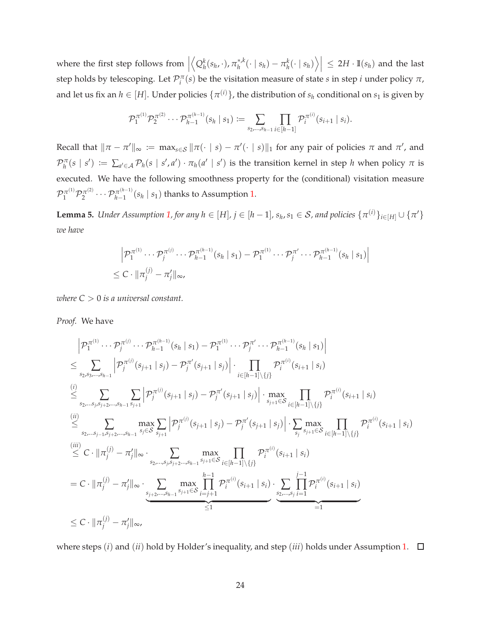where the first step follows from  $\Big|$  $\left\langle Q_h^k(s_h,\cdot), \pi_h^{*,k}(\cdot | s_h) - \pi_h^k(\cdot | s_h) \right\rangle \right| \leq 2H \cdot \mathbb{I}(s_h)$  and the last step holds by telescoping. Let  $\mathcal{P}_i^{\pi}(s)$  be the visitation measure of state *s* in step *i* under policy  $\pi$ , and let us fix an  $h \in [H]$ . Under policies  $\{\pi^{(i)}\}$ , the distribution of  $s_h$  conditional on  $s_1$  is given by

$$
\mathcal{P}_1^{\pi^{(1)}} \mathcal{P}_2^{\pi^{(2)}} \cdots \mathcal{P}_{h-1}^{\pi^{(h-1)}}(s_h \mid s_1) := \sum_{s_2, \ldots, s_{h-1}} \prod_{i \in [h-1]} \mathcal{P}_i^{\pi^{(i)}}(s_{i+1} \mid s_i).
$$

Recall that  $\|\pi - \pi'\|_{\infty} := \max_{s \in S} \|\pi(\cdot \mid s) - \pi'(\cdot \mid s)\|_1$  for any pair of policies  $\pi$  and  $\pi'$ , and  $\mathcal{P}_h^{\pi}(s \mid s') := \sum_{a' \in \mathcal{A}} \mathcal{P}_h(s \mid s', a') \cdot \pi_h(a' \mid s')$  is the transition kernel in step *h* when policy  $\pi$  is executed. We have the following smoothness property for the (conditional) visitation measure  $\mathcal{P}_1^{\pi^{(1)}}\mathcal{P}_2^{\pi^{(2)}}$  $2^{n/2} \cdots \mathcal{P}_{h-1}^{\pi^{(h-1)}}$  $\int_{h-1}^{\pi^{(n-1)}} (s_h \mid s_1)$  thanks to Assumption [1.](#page-5-0)

<span id="page-23-0"></span>**Lemma 5.** *Under Assumption [1,](#page-5-0) for any*  $h \in [H]$ *,*  $j \in [h-1]$ *,*  $s_h$ *,*  $s_1 \in S$ *, and policies*  $\{\pi^{(i)}\}_{i \in [H]} \cup \{\pi'\}$ *we have*

$$
\left| \mathcal{P}_1^{\pi^{(1)}} \cdots \mathcal{P}_j^{\pi^{(j)}} \cdots \mathcal{P}_{h-1}^{\pi^{(h-1)}}(s_h \mid s_1) - \mathcal{P}_1^{\pi^{(1)}} \cdots \mathcal{P}_j^{\pi^{'}-1} \cdots \mathcal{P}_{h-1}^{\pi^{(h-1)}}(s_h \mid s_1) \right|
$$
  
  $\leq C \cdot ||\pi_j^{(j)} - \pi_j'||_{\infty}$ ,

*where C* > 0 *is a universal constant.*

*Proof.* We have

$$
\begin{split}\n& \left| \mathcal{P}_{1}^{\pi^{(1)}} \cdots \mathcal{P}_{j}^{\pi^{(j)}} \cdots \mathcal{P}_{h-1}^{\pi^{(h-1)}}(s_{h} \mid s_{1}) - \mathcal{P}_{1}^{\pi^{(1)}} \cdots \mathcal{P}_{j}^{\pi^{(h-1)}}(s_{h} \mid s_{1}) \right| \\
&\leq & \sum_{s_{2},s_{3},...,s_{h-1}} \left| \mathcal{P}_{j}^{\pi^{(j)}}(s_{j+1} \mid s_{j}) - \mathcal{P}_{j}^{\pi^{'}}(s_{j+1} \mid s_{j}) \right| \cdot \prod_{i \in [h-1] \setminus \{j\}} \mathcal{P}_{i}^{\pi^{(i)}}(s_{i+1} \mid s_{i}) \\
&\leq & \sum_{s_{2},...s_{j},s_{j+2},...,s_{h-1}} \sum_{s_{j+1}} \left| \mathcal{P}_{j}^{\pi^{(j)}}(s_{j+1} \mid s_{j}) - \mathcal{P}_{j}^{\pi^{'}}(s_{j+1} \mid s_{j}) \right| \cdot \max_{s_{j+1} \in S} \prod_{i \in [h-1] \setminus \{j\}} \mathcal{P}_{i}^{\pi^{(i)}}(s_{i+1} \mid s_{i}) \\
&\leq & \sum_{s_{2},...s_{j-1},s_{j+2},...,s_{h-1}} \max_{s_{j} \in S} \sum_{s_{j+1}} \left| \mathcal{P}_{j}^{\pi^{(j)}}(s_{j+1} \mid s_{j}) - \mathcal{P}_{j}^{\pi^{'}}(s_{j+1} \mid s_{j}) \right| \cdot \sum_{s_{j}} \max_{s_{j+1} \in S} \prod_{i \in [h-1] \setminus \{j\}} \mathcal{P}_{i}^{\pi^{(i)}}(s_{i+1} \mid s_{i}) \\
&\leq C \cdot \|\pi_{j}^{(j)} - \pi_{j}'\|_{\infty} \cdot \sum_{s_{2},...,s_{j},s_{j+2},...,s_{h-1}} \max_{s_{j+1} \in S} \prod_{i \in [h-1] \setminus \{j\}} \mathcal{P}_{i}^{\pi^{(i)}}(s_{i+1} \mid s_{i}) \\
&= C \cdot \|\pi_{j}^{(j)} - \pi_{j}'\|_{\infty} \cdot \sum_{
$$

where steps  $(i)$  and  $(ii)$  hold by Holder's inequality, and step  $(iii)$  holds under Assumption [1.](#page-5-0)  $\Box$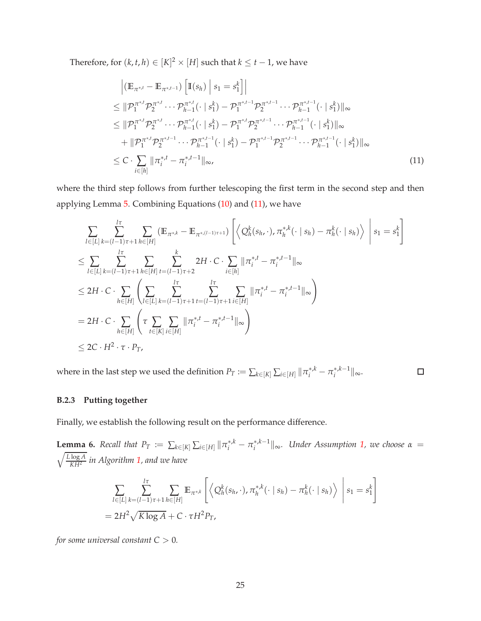Therefore, for  $(k, t, h) \in [K]^2 \times [H]$  such that  $k \leq t - 1$ , we have

<span id="page-24-0"></span>
$$
\begin{split}\n& \left| \left( \mathbb{E}_{\pi^{*t}} - \mathbb{E}_{\pi^{*t-1}} \right) \left[ \mathbb{I}(s_h) \, \middle| \, s_1 = s_1^k \right] \right| \\
&\leq \|\mathcal{P}_1^{\pi^{*t}} \mathcal{P}_2^{\pi^{*t}} \cdots \mathcal{P}_{h-1}^{\pi^{*t}} (\cdot \, \vert \, s_1^k) - \mathcal{P}_1^{\pi^{*t-1}} \mathcal{P}_2^{\pi^{*t-1}} \cdots \mathcal{P}_{h-1}^{\pi^{*t-1}} (\cdot \, \vert \, s_1^k) \|\infty \\
&\leq \|\mathcal{P}_1^{\pi^{*t}} \mathcal{P}_2^{\pi^{*t}} \cdots \mathcal{P}_{h-1}^{\pi^{*t}} (\cdot \, \vert \, s_1^k) - \mathcal{P}_1^{\pi^{*t}} \mathcal{P}_2^{\pi^{*t-1}} \cdots \mathcal{P}_{h-1}^{\pi^{*t-1}} (\cdot \, \vert \, s_1^k) \|\infty \\
&\quad + \|\mathcal{P}_1^{\pi^{*t}} \mathcal{P}_2^{\pi^{*t-1}} \cdots \mathcal{P}_{h-1}^{\pi^{*t-1}} (\cdot \, \vert \, s_1^k) - \mathcal{P}_1^{\pi^{*t-1}} \mathcal{P}_2^{\pi^{*t-1}} \cdots \mathcal{P}_{h-1}^{\pi^{*t-1}} (\cdot \, \vert \, s_1^k) \|\infty \\
&\leq C \cdot \sum_{i \in [h]} \|\pi_i^{*t} - \pi_i^{*t-1}\|_{\infty},\n\end{split} \tag{11}
$$

where the third step follows from further telescoping the first term in the second step and then applying Lemma [5.](#page-23-0) Combining Equations [\(10\)](#page-22-1) and [\(11\)](#page-24-0), we have

$$
\sum_{l\in[L]} \sum_{k=(l-1)\tau+1}^{l\tau} \sum_{h\in[H]} (\mathbb{E}_{\pi^{*,k}} - \mathbb{E}_{\pi^{*,(l-1)\tau+1}}) \left[ \left\langle Q_h^k(s_h, \cdot), \pi_h^{*,k}(\cdot \mid s_h) - \pi_h^k(\cdot \mid s_h) \right\rangle \right] s_1 = s_1^k
$$
\n
$$
\leq \sum_{l\in[L]} \sum_{k=(l-1)\tau+1}^{l\tau} \sum_{h\in[H]} \sum_{t=(l-1)\tau+2}^{k} 2H \cdot C \cdot \sum_{i\in[h]} \|\pi_i^{*,t} - \pi_i^{*,t-1}\|_{\infty}
$$
\n
$$
\leq 2H \cdot C \cdot \sum_{h\in[H]} \left( \sum_{l\in[L]} \sum_{k=(l-1)\tau+1}^{l\tau} \sum_{t=(l-1)\tau+1}^{l\tau} \sum_{i\in[H]} \|\pi_i^{*,t} - \pi_i^{*,t-1}\|_{\infty} \right)
$$
\n
$$
= 2H \cdot C \cdot \sum_{h\in[H]} \left( \tau \sum_{t\in[K]} \sum_{i\in[H]} \|\pi_i^{*,t} - \pi_i^{*,t-1}\|_{\infty} \right)
$$
\n
$$
\leq 2C \cdot H^2 \cdot \tau \cdot P_T,
$$

where in the last step we used the definition  $P_T\coloneqq\sum_{k\in[K]}\sum_{i\in[H]}\|\pi_i^{*,k}-\pi_i^{*,k-1}\|_\infty$ .  $\Box$ 

## **B.2.3 Putting together**

<span id="page-24-1"></span>Finally, we establish the following result on the performance difference.

**Lemma 6.** Recall that  $P_T := \sum_{k \in [K]} \sum_{i \in [H]} ||\pi_i^{*,k} - \pi_i^{*,k-1}||_{\infty}$ . Under Assumption [1,](#page-5-0) we choose  $\alpha = \sqrt{\log A}$  in Algorithm 1, and the have *KH*<sup>2</sup> *in Algorithm [1,](#page-9-0) and we have*

$$
\sum_{l \in [L]} \sum_{k=(l-1)\tau+1}^{l\tau} \sum_{h \in [H]} \mathbb{E}_{\pi^{*,k}} \left[ \left\langle Q_h^k(s_{h}, \cdot), \pi_h^{*,k}(\cdot \mid s_h) - \pi_h^k(\cdot \mid s_h) \right\rangle \middle| s_1 = s_1^k \right]
$$
  
=  $2H^2 \sqrt{K \log A} + C \cdot \tau H^2 P_T$ ,

*for some universal constant*  $C > 0$ *.*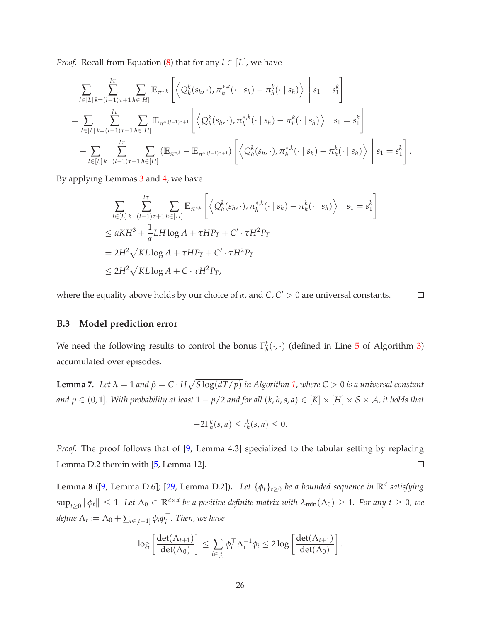*Proof.* Recall from Equation [\(8\)](#page-20-1) that for any  $l \in [L]$ , we have

$$
\sum_{l\in[L]} \sum_{k=(l-1)\tau+1}^{l\tau} \sum_{h\in[H]} \mathbb{E}_{\pi^{*,k}} \left[ \left\langle Q_h^k(s_{h}, \cdot), \pi_h^{*,k}(\cdot \mid s_h) - \pi_h^k(\cdot \mid s_h) \right\rangle \middle| s_1 = s_1^k \right]
$$
\n
$$
= \sum_{l\in[L]} \sum_{k=(l-1)\tau+1}^{l\tau} \sum_{h\in[H]} \mathbb{E}_{\pi^{*,(l-1)\tau+1}} \left[ \left\langle Q_h^k(s_{h}, \cdot), \pi_h^{*,k}(\cdot \mid s_h) - \pi_h^k(\cdot \mid s_h) \right\rangle \middle| s_1 = s_1^k \right]
$$
\n
$$
+ \sum_{l\in[L]} \sum_{k=(l-1)\tau+1}^{l\tau} \sum_{h\in[H]} (\mathbb{E}_{\pi^{*,k}} - \mathbb{E}_{\pi^{*,(l-1)\tau+1}}) \left[ \left\langle Q_h^k(s_{h}, \cdot), \pi_h^{*,k}(\cdot \mid s_h) - \pi_h^k(\cdot \mid s_h) \right\rangle \middle| s_1 = s_1^k \right].
$$

By applying Lemmas [3](#page-20-0) and [4,](#page-22-0) we have

$$
\sum_{l\in[L]} \sum_{k=(l-1)\tau+1}^{l\tau} \sum_{h\in[H]} \mathbb{E}_{\pi^{*,k}} \left[ \left\langle Q_h^k(s_{h}, \cdot), \pi_h^{*,k}(\cdot \mid s_h) - \pi_h^k(\cdot \mid s_h) \right\rangle \middle| s_1 = s_1^k \right]
$$
  
\n
$$
\leq \alpha KH^3 + \frac{1}{\alpha} LH \log A + \tau H P_T + C' \cdot \tau H^2 P_T
$$
  
\n
$$
= 2H^2 \sqrt{KL \log A} + \tau H P_T + C' \cdot \tau H^2 P_T
$$
  
\n
$$
\leq 2H^2 \sqrt{KL \log A} + C \cdot \tau H^2 P_T,
$$

where the equality above holds by our choice of  $\alpha$ , and  $C$ ,  $C' > 0$  are universal constants.  $\Box$ 

## **B.3 Model prediction error**

<span id="page-25-1"></span>We need the following results to control the bonus  $\Gamma_h^k(\cdot,\cdot)$  (defined in Line [5](#page-19-4) of Algorithm [3\)](#page-19-1) accumulated over episodes.

**Lemma 7.** Let  $\lambda = 1$  and  $\beta = C \cdot H \sqrt{S \log(dT/p)}$  in Algorithm [1,](#page-9-0) where  $C > 0$  is a universal constant *and*  $p$  ∈ (0, 1]. With probability at least  $1 - p/2$  and for all  $(k, h, s, a)$  ∈  $[K] \times [H] \times S \times A$ , it holds that

$$
-2\Gamma_h^k(s,a) \leq \iota_h^k(s,a) \leq 0.
$$

*Proof.* The proof follows that of [\[9](#page-14-9), Lemma 4.3] specialized to the tabular setting by replacing Lemma D.2 therein with [\[5](#page-13-6), Lemma 12].  $\Box$ 

<span id="page-25-0"></span>**Lemma 8** ([\[9](#page-14-9), Lemma D.6]; [\[29,](#page-15-11) Lemma D.2])**.** *Let* {*φt*}*t*≥<sup>0</sup> *be a bounded sequence in* **<sup>R</sup>***<sup>d</sup> satisfying*  $\sup_{t\geq 0} \|\phi_t\| \leq 1$ . Let  $\Lambda_0 \in \mathbb{R}^{d \times d}$  be a positive definite matrix with  $\lambda_{\min}(\Lambda_0) \geq 1$ . For any  $t \geq 0$ , we  $\delta$ *define*  $\Lambda_t := \Lambda_0 + \sum_{i \in [t-1]} \phi_i \phi_i^\top$ . Then, we have

$$
\log\left[\frac{\det(\Lambda_{t+1})}{\det(\Lambda_0)}\right] \leq \sum_{i\in[t]} \phi_i^{\top} \Lambda_i^{-1} \phi_i \leq 2\log\left[\frac{\det(\Lambda_{t+1})}{\det(\Lambda_0)}\right].
$$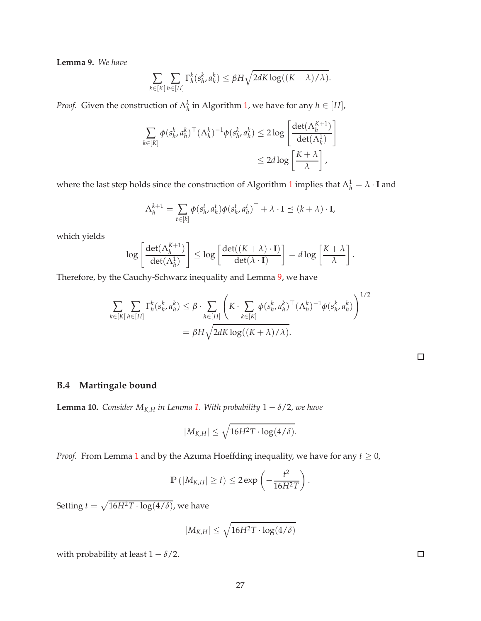**Lemma 9.** *We have*

$$
\sum_{k\in[K]} \sum_{h\in[H]} \Gamma_h^k(s_h^k, a_h^k) \leq \beta H \sqrt{2dK \log((K+\lambda)/\lambda)}.
$$

*Proof.* Given the construction of  $\Lambda_h^k$  in Algorithm [1,](#page-9-0) we have for any  $h \in [H]$ ,

$$
\sum_{k \in [K]} \phi(s_h^k, a_h^k)^\top (\Lambda_h^k)^{-1} \phi(s_h^k, a_h^k) \le 2 \log \left[ \frac{\det(\Lambda_h^{K+1})}{\det(\Lambda_h^1)} \right] \le 2d \log \left[ \frac{K + \lambda}{\lambda} \right],
$$

where the last step holds since the construction of Algorithm [1](#page-9-0) implies that  $\Lambda_h^1 = \lambda \cdot I$  and

$$
\Lambda_h^{k+1} = \sum_{t \in [k]} \phi(s_h^t, a_h^t) \phi(s_h^t, a_h^t)^\top + \lambda \cdot \mathbf{I} \preceq (k + \lambda) \cdot \mathbf{I},
$$

which yields

$$
\log \left[\frac{\det(\Lambda_h^{K+1})}{\det(\Lambda_h^1)}\right] \leq \log \left[\frac{\det((K+\lambda) \cdot \mathbf{I})}{\det(\lambda \cdot \mathbf{I})}\right] = d \log \left[\frac{K+\lambda}{\lambda}\right].
$$

Therefore, by the Cauchy-Schwarz inequality and Lemma [9,](#page-25-0) we have

$$
\sum_{k \in [K]} \sum_{h \in [H]} \Gamma_h^k(s_h^k, a_h^k) \leq \beta \cdot \sum_{h \in [H]} \left( K \cdot \sum_{k \in [K]} \phi(s_h^k, a_h^k)^\top (\Lambda_h^k)^{-1} \phi(s_h^k, a_h^k) \right)^{1/2}
$$

$$
= \beta H \sqrt{2dK \log((K + \lambda)/\lambda)}.
$$

## <span id="page-26-0"></span>**B.4 Martingale bound**

**Lemma 10.** *Consider*  $M_{K,H}$  *in Lemma [1.](#page-19-3) With probability*  $1 - \delta/2$ *, we have* 

$$
|M_{K,H}| \leq \sqrt{16H^2T \cdot \log(4/\delta)}.
$$

*Proof.* From Lemma [1](#page-19-3) and by the Azuma Hoeffding inequality, we have for any  $t \geq 0$ ,

$$
\mathbb{P}\left(\left|M_{K,H}\right|\geq t\right)\leq 2\exp\left(-\frac{t^2}{16H^2T}\right).
$$

Setting  $t = \sqrt{16H^2T \cdot \log(4/\delta)}$ , we have

$$
|M_{K,H}| \leq \sqrt{16H^2T \cdot \log(4/\delta)}
$$

with probability at least  $1 - \delta/2$ .

 $\Box$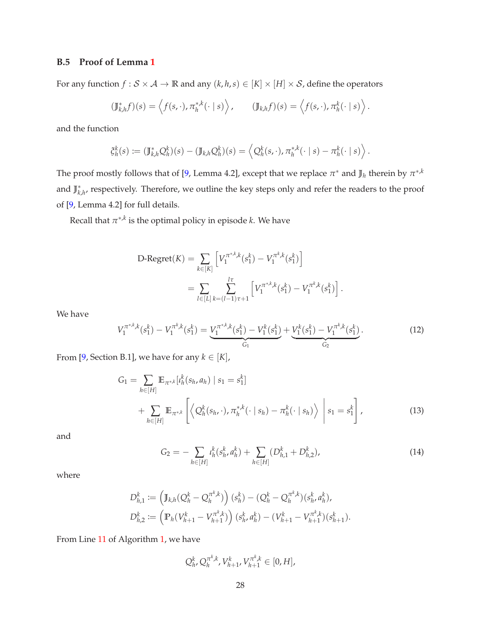# <span id="page-27-0"></span>**B.5 Proof of Lemma [1](#page-19-3)**

For any function  $f : \mathcal{S} \times \mathcal{A} \to \mathbb{R}$  and any  $(k, h, s) \in [K] \times [H] \times \mathcal{S}$ , define the operators

$$
(\mathbb{J}_{k,h}^*f)(s) = \left\langle f(s,\cdot), \pi_h^{*,k}(\cdot \mid s) \right\rangle, \qquad (\mathbb{J}_{k,h}f)(s) = \left\langle f(s,\cdot), \pi_h^k(\cdot \mid s) \right\rangle.
$$

and the function

$$
\xi_h^k(s) := (\mathbb{J}_{k,h}^* Q_h^k)(s) - (\mathbb{J}_{k,h} Q_h^k)(s) = \left\langle Q_h^k(s,\cdot), \pi_h^{*,k}(\cdot \mid s) - \pi_h^k(\cdot \mid s) \right\rangle.
$$

The proof mostly follows that of [\[9](#page-14-9), Lemma 4.2], except that we replace  $\pi^*$  and  $\mathbb{J}_h$  therein by  $\pi^{*,k}$ and  $\mathbb{J}^*_{k,h'}$  respectively. Therefore, we outline the key steps only and refer the readers to the proof of [\[9](#page-14-9), Lemma 4.2] for full details.

Recall that  $\pi^{*,k}$  is the optimal policy in episode  $k.$  We have

D-Regret(K) = 
$$
\sum_{k \in [K]} \left[ V_1^{\pi^{*,k},k}(s_1^k) - V_1^{\pi^k,k}(s_1^k) \right]
$$
  
= 
$$
\sum_{l \in [L]} \sum_{k=(l-1)\tau+1}^{l\tau} \left[ V_1^{\pi^{*,k},k}(s_1^k) - V_1^{\pi^k,k}(s_1^k) \right].
$$

We have

<span id="page-27-1"></span>
$$
V_1^{\pi^{*,k},k}(s_1^k) - V_1^{\pi^k,k}(s_1^k) = \underbrace{V_1^{\pi^{*,k},k}(s_1^k) - V_1^k(s_1^k)}_{G_1} + \underbrace{V_1^k(s_1^k) - V_1^{\pi^k,k}(s_1^k)}_{G_2}.
$$
 (12)

From [\[9](#page-14-9), Section B.1], we have for any  $k \in [K]$ ,

$$
G_{1} = \sum_{h \in [H]} \mathbb{E}_{\pi^{*,k}} [t_{h}^{k}(s_{h}, a_{h}) | s_{1} = s_{1}^{k}] + \sum_{h \in [H]} \mathbb{E}_{\pi^{*,k}} \left[ \left\langle Q_{h}^{k}(s_{h}, \cdot), \pi_{h}^{*,k}(\cdot | s_{h}) - \pi_{h}^{k}(\cdot | s_{h}) \right\rangle | s_{1} = s_{1}^{k} \right],
$$
\n(13)

and

<span id="page-27-3"></span><span id="page-27-2"></span>
$$
G_2 = -\sum_{h \in [H]} t_h^k(s_h^k, a_h^k) + \sum_{h \in [H]} (D_{h,1}^k + D_{h,2}^k), \tag{14}
$$

where

$$
D_{h,1}^k := \left(\mathbb{J}_{k,h}(Q_h^k - Q_h^{\pi^k,k})\right)(s_h^k) - (Q_h^k - Q_h^{\pi^k,k})(s_h^k, a_h^k),
$$
  

$$
D_{h,2}^k := \left(\mathbb{P}_h(V_{h+1}^k - V_{h+1}^{\pi^k,k})\right)(s_h^k, a_h^k) - (V_{h+1}^k - V_{h+1}^{\pi^k,k})(s_{h+1}^k).
$$

From Line [11](#page-10-0) of Algorithm [1,](#page-9-0) we have

$$
Q_h^k, Q_h^{\pi^k,k}, V_{h+1}^k, V_{h+1}^{\pi^k,k} \in [0, H],
$$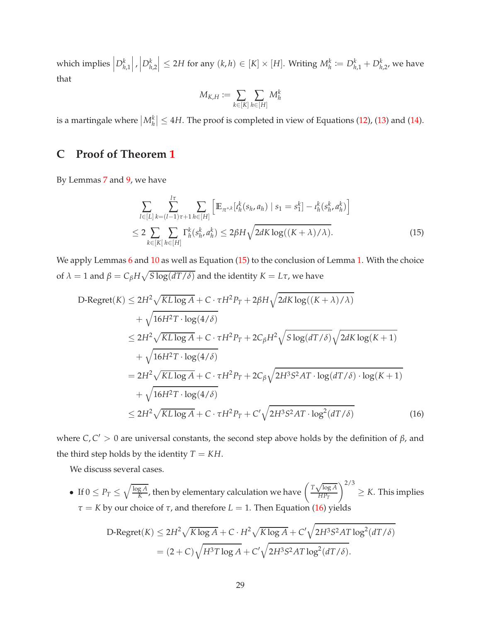which implies  $D_{h,1}^k$  $\left| , \right|D^{k}_{h,2}$  $\left| \leq 2H$  for any  $(k, h) \in [K] \times [H]$ . Writing  $M_h^k := D_{h,1}^k + D_{h,2}^k$ , we have that

<span id="page-28-1"></span>
$$
M_{K,H}:=\sum_{k\in[K]}\sum_{h\in[H]}M_h^k
$$

<span id="page-28-0"></span>is a martingale where  $\left|M_h^k\right| \leq 4H$ . The proof is completed in view of Equations [\(12\)](#page-27-1), [\(13\)](#page-27-2) and [\(14\)](#page-27-3).

# **C Proof of Theorem [1](#page-9-1)**

By Lemmas [7](#page-25-1) and [9,](#page-25-0) we have

$$
\sum_{l \in [L]} \sum_{k=(l-1)\tau+1}^{l\tau} \sum_{h \in [H]} \left[ \mathbb{E}_{\pi^{*k}}[t_h^k(s_h, a_h) \mid s_1 = s_1^k] - t_h^k(s_h^k, a_h^k) \right]
$$
  

$$
\leq 2 \sum_{k \in [K]} \sum_{h \in [H]} \Gamma_h^k(s_h^k, a_h^k) \leq 2\beta H \sqrt{2dK \log((K+\lambda)/\lambda)}.
$$
 (15)

We apply Lemmas [6](#page-24-1) and [10](#page-26-0) as well as Equation [\(15\)](#page-28-1) to the conclusion of Lemma [1.](#page-19-3) With the choice of  $\lambda = 1$  and  $\beta = C_{\beta}H\sqrt{S\log(dT/\delta)}$  and the identity  $K = L\tau$ , we have

$$
D\text{-Regret}(K) \le 2H^2 \sqrt{KL \log A} + C \cdot \tau H^2 P_T + 2\beta H \sqrt{2dK \log((K+\lambda)/\lambda)}
$$
  
+  $\sqrt{16H^2T \cdot \log(4/\delta)}$   

$$
\le 2H^2 \sqrt{KL \log A} + C \cdot \tau H^2 P_T + 2C_{\beta} H^2 \sqrt{S \log(dT/\delta)} \sqrt{2dK \log(K+1)}
$$
  
+  $\sqrt{16H^2T \cdot \log(4/\delta)}$   
=  $2H^2 \sqrt{KL \log A} + C \cdot \tau H^2 P_T + 2C_{\beta} \sqrt{2H^3S^2AT \cdot \log(dT/\delta) \cdot \log(K+1)}$   
+  $\sqrt{16H^2T \cdot \log(4/\delta)}$   

$$
\le 2H^2 \sqrt{KL \log A} + C \cdot \tau H^2 P_T + C' \sqrt{2H^3S^2AT \cdot \log^2(dT/\delta)}
$$
(16)

where  $C, C' > 0$  are universal constants, the second step above holds by the definition of  $\beta$ , and the third step holds by the identity  $T = KH$ .

We discuss several cases.

• If  $0 \le P_T \le \sqrt{\frac{\log A}{K}}$  $\frac{gA}{K}$ , then by elementary calculation we have  $\left(\frac{T\sqrt{\log A}}{HP_T}\right)$ *HP<sup>T</sup>*  $\bigwedge^{2/3}$  $\geq K$ . This implies *τ* = *K* by our choice of *τ*, and therefore *L* = 1. Then Equation [\(16\)](#page-28-2) yields

<span id="page-28-2"></span>D-Regret(K) 
$$
\leq 2H^2 \sqrt{K \log A} + C \cdot H^2 \sqrt{K \log A} + C' \sqrt{2H^3 S^2 AT \log^2(dT/\delta)}
$$
  
=  $(2+C)\sqrt{H^3 T \log A} + C' \sqrt{2H^3 S^2 AT \log^2(dT/\delta)}$ .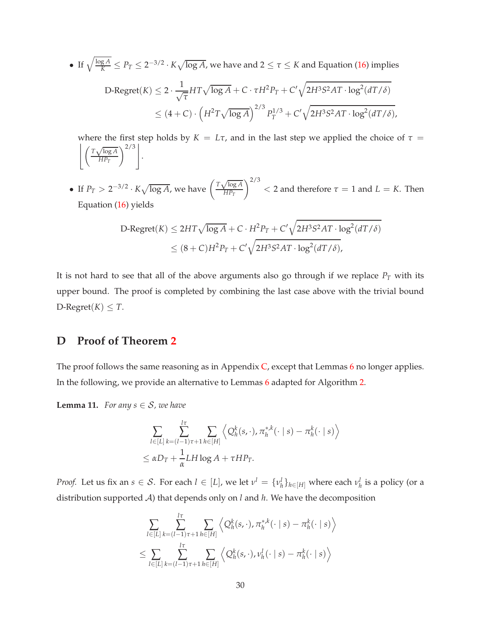• If 
$$
\sqrt{\frac{\log A}{K}} \le P_T \le 2^{-3/2} \cdot K \sqrt{\log A}
$$
, we have and  $2 \le \tau \le K$  and Equation (16) implies  
\nD-Regret $(K) \le 2 \cdot \frac{1}{\sqrt{\tau}} H T \sqrt{\log A} + C \cdot \tau H^2 P_T + C' \sqrt{2H^3 S^2 A T \cdot \log^2 (dT/\delta)}$   
\n $\le (4+C) \cdot \left(H^2 T \sqrt{\log A}\right)^{2/3} P_T^{1/3} + C' \sqrt{2H^3 S^2 A T \cdot \log^2 (dT/\delta)}$ ,

where the first step holds by  $K = L\tau$ , and in the last step we applied the choice of  $\tau =$  $\int T \sqrt{\log A}$ *HP<sup>T</sup>*  $\left\langle \frac{2}{3} \right|$ .

• If  $P_T > 2^{-3/2} \cdot K \sqrt{\log A}$ , we have  $\left(\frac{T\sqrt{\log A}}{HP_T}\right)$ *HP<sup>T</sup>*  $\int^{2/3}$  < 2 and therefore  $\tau = 1$  and  $L = K$ . Then Equation [\(16\)](#page-28-2) yields

D-Regret(K) 
$$
\leq 2HT\sqrt{\log A} + C \cdot H^2 P_T + C'\sqrt{2H^3S^2AT \cdot \log^2(dT/\delta)}
$$
  
 $\leq (8+C)H^2 P_T + C'\sqrt{2H^3S^2AT \cdot \log^2(dT/\delta)}$ ,

It is not hard to see that all of the above arguments also go through if we replace  $P_T$  with its upper bound. The proof is completed by combining the last case above with the trivial bound D-Regret $(K) \leq T$ .

# <span id="page-29-0"></span>**D Proof of Theorem [2](#page-11-0)**

<span id="page-29-1"></span>The proof follows the same reasoning as in Appendix  $C$ , except that Lemmas [6](#page-24-1) no longer applies. In the following, we provide an alternative to Lemmas [6](#page-24-1) adapted for Algorithm [2.](#page-10-1)

**Lemma 11.** *For any s*  $\in$  *S, we have* 

$$
\sum_{l\in[L]} \sum_{k=(l-1)\tau+1}^{l\tau} \sum_{h\in[H]} \left\langle Q_h^k(s,\cdot), \pi_h^{*,k}(\cdot \mid s) - \pi_h^k(\cdot \mid s) \right\rangle
$$
  

$$
\leq \alpha D_T + \frac{1}{\alpha} L H \log A + \tau H P_T.
$$

*Proof.* Let us fix an  $s \in S$ . For each  $l \in [L]$ , we let  $v^l = \{v^l_h\}_{h \in [H]}$  where each  $v^l_h$  is a policy (or a distribution supported A) that depends only on *l* and *h*. We have the decomposition

$$
\sum_{l\in[L]} \sum_{k=(l-1)\tau+1}^{l\tau} \sum_{h\in[H]} \left\langle Q_h^k(s,\cdot), \pi_h^{*,k}(\cdot \mid s) - \pi_h^k(\cdot \mid s) \right\rangle
$$
  

$$
\leq \sum_{l\in[L]} \sum_{k=(l-1)\tau+1}^{l\tau} \sum_{h\in[H]} \left\langle Q_h^k(s,\cdot), \nu_h^l(\cdot \mid s) - \pi_h^k(\cdot \mid s) \right\rangle
$$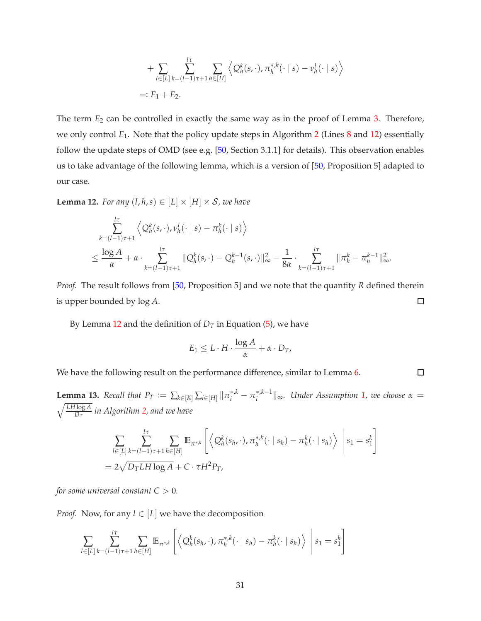+ 
$$
\sum_{l \in [L]} \sum_{k=(l-1)\tau+1}^{l\tau} \sum_{h \in [H]} \left\langle Q_h^k(s,\cdot), \pi_h^{*,k}(\cdot \mid s) - \nu_h^l(\cdot \mid s) \right\rangle
$$
  
=:  $E_1 + E_2$ .

The term  $E_2$  can be controlled in exactly the same way as in the proof of Lemma [3.](#page-20-0) Therefore, we only control *E*1. Note that the policy update steps in Algorithm [2](#page-10-1) (Lines [8](#page-19-2) and [12\)](#page-10-2) essentially follow the update steps of OMD (see e.g. [\[50](#page-17-10), Section 3.1.1] for details). This observation enables us to take advantage of the following lemma, which is a version of [\[50](#page-17-10), Proposition 5] adapted to our case.

<span id="page-30-0"></span>**Lemma 12.** *For any*  $(l, h, s) \in [L] \times [H] \times S$ *, we have* 

$$
\sum_{k=(l-1)\tau+1}^{l\tau} \left\langle Q_h^k(s,\cdot), \nu_h^l(\cdot \mid s) - \pi_h^k(\cdot \mid s) \right\rangle
$$
  

$$
\leq \frac{\log A}{\alpha} + \alpha \cdot \sum_{k=(l-1)\tau+1}^{l\tau} \|Q_h^k(s,\cdot) - Q_h^{k-1}(s,\cdot)\|_{\infty}^2 - \frac{1}{8\alpha} \cdot \sum_{k=(l-1)\tau+1}^{l\tau} \|\pi_h^k - \pi_h^{k-1}\|_{\infty}^2.
$$

*Proof.* The result follows from [\[50,](#page-17-10) Proposition 5] and we note that the quantity *R* defined therein is upper bounded by log *A*.  $\Box$ 

By Lemma [12](#page-30-0) and the definition of  $D_T$  in Equation [\(5\)](#page-6-0), we have

$$
E_1 \leq L \cdot H \cdot \frac{\log A}{\alpha} + \alpha \cdot D_T,
$$

<span id="page-30-1"></span>We have the following result on the performance difference, similar to Lemma [6.](#page-24-1)

 $\Box$ 

**Lemma 13.** Recall that  $P_T := \sum_{k \in [K]} \sum_{i \in [H]} ||\pi_i^{*,k} - \pi_i^{*,k-1}||_{\infty}$ . Under Assumption [1,](#page-5-0) we choose  $\alpha = \sqrt{\frac{LH \log A}{n}}$  in Algorithm 2, and we have *D<sup>T</sup> in Algorithm [2,](#page-10-1) and we have*

$$
\sum_{l\in[L]} \sum_{k=(l-1)\tau+1}^{l\tau} \sum_{h\in[H]} \mathbb{E}_{\pi^{*,k}} \left[ \left\langle Q_h^k(s_{h}, \cdot), \pi_h^{*,k}(\cdot \mid s_h) - \pi_h^k(\cdot \mid s_h) \right\rangle \middle| s_1 = s_1^k \right]
$$
  
=  $2\sqrt{D_T L H \log A} + C \cdot \tau H^2 P_T$ ,

*for some universal constant*  $C > 0$ *.* 

*Proof.* Now, for any  $l \in [L]$  we have the decomposition

$$
\sum_{l\in[L]} \sum_{k=(l-1)\tau+1}^{l\tau} \sum_{h\in[H]} \mathbb{E}_{\pi^{*,k}} \left[ \left\langle Q_h^k(s_h,\cdot), \pi_h^{*,k}(\cdot \mid s_h) - \pi_h^k(\cdot \mid s_h) \right\rangle \middle| s_1 = s_1^k \right]
$$